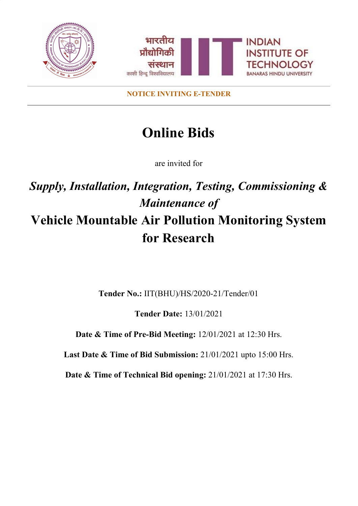

**NOTICE INVITING E-TENDER**

# **Online Bids**

are invited for

# *Supply, Installation, Integration, Testing, Commissioning & Maintenance of* **Vehicle Mountable Air Pollution Monitoring System for Research**

**Tender No.:** IIT(BHU)/HS/2020-21/Tender/01

**Tender Date:** 13/01/2021

**Date & Time of Pre-Bid Meeting:** 12/01/2021 at 12:30 Hrs.

**Last Date & Time of Bid Submission:** 21/01/2021 upto 15:00 Hrs.

**Date & Time of Technical Bid opening:** 21/01/2021 at 17:30 Hrs.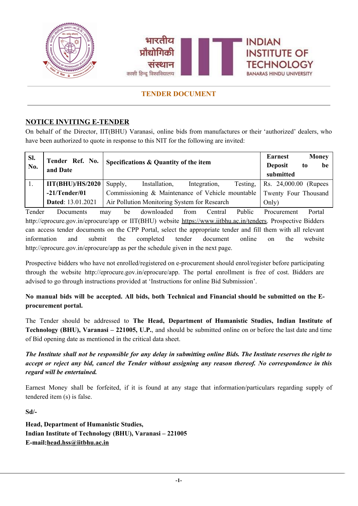

## **NOTICE INVITING E-TENDER**

On behalf of the Director, IIT(BHU) Varanasi, online bids from manufactures or their 'authorized' dealers, who have been authorized to quote in response to this NIT for the following are invited:

| SI.<br>No. | Tender Ref. No.<br>and Date | Specifications & Quantity of the item                                    |               |              |          | <b>Earnest</b><br><b>Deposit</b><br>submitted | to | <b>Money</b><br>be |
|------------|-----------------------------|--------------------------------------------------------------------------|---------------|--------------|----------|-----------------------------------------------|----|--------------------|
| l 1.       | $\text{IIT(BHU)/HS}/2020$   | Supply,                                                                  | Installation, | Integration, | Testing, | Rs. 24,000.00 (Rupees                         |    |                    |
|            | $-21/T$ ender/01            | Commissioning & Maintenance of Vehicle mountable<br>Twenty Four Thousand |               |              |          |                                               |    |                    |
|            | Dated: 13.01.2021           | Air Pollution Monitoring System for Research<br>Only)                    |               |              |          |                                               |    |                    |

Tender Documents may be downloaded from Central Public Procurement Portal <http://eprocure.gov.in/eprocure/app> or IIT(BHU) website <https://www.iitbhu.ac.in/tenders>. Prospective Bidders can access tender documents on the CPP Portal, select the appropriate tender and fill them with all relevant information and submit the completed tender document online on the website [http://eprocure.gov.in/eprocure/app](http://eprocure.gov.in/eprocure/app%20a) as per the schedule given in the next page.

Prospective bidders who have not enrolled/registered on e-procurement should enrol/register before participating through the website [http://eprocure.gov.in/eprocure/app.](http://eprocure.gov.in/eprocure/app.%20The) The portal enrollment is free of cost. Bidders are advised to go through instructions provided at 'Instructions for online Bid Submission'.

No manual bids will be accepted. All bids, both Technical and Financial should be submitted on the E**procurement portal.**

The Tender should be addressed to **The Head, Department of Humanistic Studies, Indian Institute of Technology (BHU), Varanasi – 221005, U.P.**, and should be submitted online on or before the last date and time of Bid opening date as mentioned in the critical data sheet.

The Institute shall not be responsible for any delay in submitting online Bids. The Institute reserves the right to accept or reject any bid, cancel the Tender without assigning any reason thereof. No correspondence in this *regard will be entertained.*

Earnest Money shall be forfeited, if it is found at any stage that information/particulars regarding supply of tendered item (s) is false.

**Sd/-**

**Head, Department of Humanistic Studies, Indian Institute of Technology (BHU), Varanasi – 221005 E-mail:[head.hss@iitbhu.ac.in](mailto:head.hss@iitbhu.ac.in)**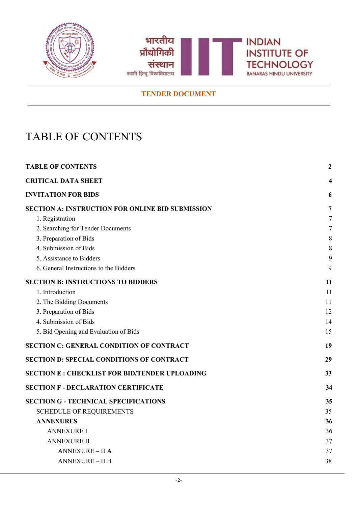



# <span id="page-2-0"></span>TABLE OF CONTENTS

| <b>TABLE OF CONTENTS</b>                                |    |
|---------------------------------------------------------|----|
| <b>CRITICAL DATA SHEET</b>                              | 4  |
| <b>INVITATION FOR BIDS</b>                              | 6  |
| <b>SECTION A: INSTRUCTION FOR ONLINE BID SUBMISSION</b> | 7  |
| 1. Registration                                         | 7  |
| 2. Searching for Tender Documents                       | 7  |
| 3. Preparation of Bids                                  | 8  |
| 4. Submission of Bids                                   | 8  |
| 5. Assistance to Bidders                                | 9  |
| 6. General Instructions to the Bidders                  | 9  |
| <b>SECTION B: INSTRUCTIONS TO BIDDERS</b>               | 11 |
| 1. Introduction                                         | 11 |
| 2. The Bidding Documents                                | 11 |
| 3. Preparation of Bids                                  | 12 |
| 4. Submission of Bids                                   | 14 |
| 5. Bid Opening and Evaluation of Bids                   | 15 |
| <b>SECTION C: GENERAL CONDITION OF CONTRACT</b>         | 19 |
| <b>SECTION D: SPECIAL CONDITIONS OF CONTRACT</b>        | 29 |
| <b>SECTION E: CHECKLIST FOR BID/TENDER UPLOADING</b>    | 33 |
| <b>SECTION F - DECLARATION CERTIFICATE</b>              | 34 |
| <b>SECTION G - TECHNICAL SPECIFICATIONS</b>             | 35 |
| <b>SCHEDULE OF REQUIREMENTS</b>                         | 35 |
| <b>ANNEXURES</b>                                        | 36 |
| <b>ANNEXURE I</b>                                       | 36 |
| <b>ANNEXURE II</b>                                      | 37 |
| <b>ANNEXURE - II A</b>                                  | 37 |
| <b>ANNEXURE - II B</b>                                  | 38 |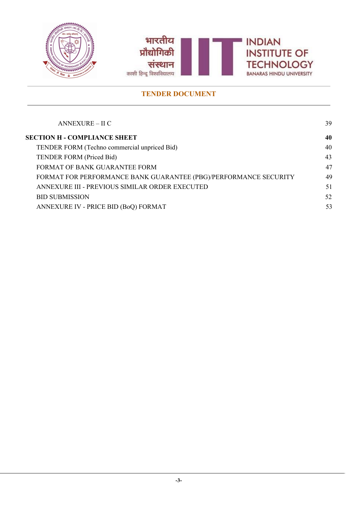



| $ANNEXURE - II C$                                                | 39 |
|------------------------------------------------------------------|----|
| <b>SECTION H - COMPLIANCE SHEET</b>                              | 40 |
| TENDER FORM (Techno commercial unpriced Bid)                     | 40 |
| <b>TENDER FORM (Priced Bid)</b>                                  | 43 |
| FORMAT OF BANK GUARANTEE FORM                                    | 47 |
| FORMAT FOR PERFORMANCE BANK GUARANTEE (PBG)/PERFORMANCE SECURITY | 49 |
| ANNEXURE III - PREVIOUS SIMILAR ORDER EXECUTED                   | 51 |
| <b>BID SUBMISSION</b>                                            | 52 |
| ANNEXURE IV - PRICE BID (BoQ) FORMAT                             | 53 |
|                                                                  |    |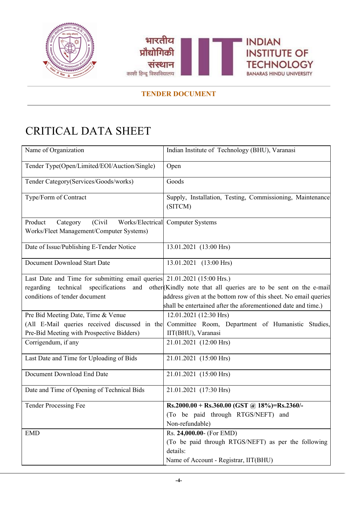



# <span id="page-4-0"></span>CRITICAL DATA SHEET

| Name of Organization                                                                          | Indian Institute of Technology (BHU), Varanasi                       |
|-----------------------------------------------------------------------------------------------|----------------------------------------------------------------------|
| Tender Type(Open/Limited/EOI/Auction/Single)                                                  | Open                                                                 |
| Tender Category(Services/Goods/works)                                                         | Goods                                                                |
| Type/Form of Contract                                                                         | Supply, Installation, Testing, Commissioning, Maintenance<br>(SITCM) |
| Product<br>(Civil<br>Works/Electrical<br>Category<br>Works/Fleet Management/Computer Systems) | <b>Computer Systems</b>                                              |
| Date of Issue/Publishing E-Tender Notice                                                      | 13.01.2021 (13:00 Hrs)                                               |
| Document Download Start Date                                                                  | 13.01.2021 (13:00 Hrs)                                               |
| Last Date and Time for submitting email queries 21.01.2021 (15:00 Hrs.)                       |                                                                      |
| technical<br>specifications<br>regarding<br>and                                               | other Kindly note that all queries are to be sent on the e-mail      |
| conditions of tender document                                                                 | address given at the bottom row of this sheet. No email queries      |
|                                                                                               | shall be entertained after the aforementioned date and time.)        |
| Pre Bid Meeting Date, Time & Venue                                                            | 12.01.2021 (12:30 Hrs)                                               |
| (All E-Mail queries received discussed in the                                                 | Committee Room, Department of Humanistic Studies,                    |
| Pre-Bid Meeting with Prospective Bidders)                                                     | IIT(BHU), Varanasi                                                   |
| Corrigendum, if any                                                                           | 21.01.2021 (12:00 Hrs)                                               |
| Last Date and Time for Uploading of Bids                                                      | 21.01.2021 (15:00 Hrs)                                               |
| Document Download End Date                                                                    | 21.01.2021 (15:00 Hrs)                                               |
| Date and Time of Opening of Technical Bids                                                    | 21.01.2021 (17:30 Hrs)                                               |
| <b>Tender Processing Fee</b>                                                                  | Rs.2000.00 + Rs.360.00 (GST @ 18%)=Rs.2360/-                         |
|                                                                                               | (To be paid through RTGS/NEFT) and                                   |
|                                                                                               | Non-refundable)                                                      |
| <b>EMD</b>                                                                                    | Rs. 24,000.00- (For EMD)                                             |
|                                                                                               | (To be paid through RTGS/NEFT) as per the following                  |
|                                                                                               | details:                                                             |
|                                                                                               | Name of Account - Registrar, IIT(BHU)                                |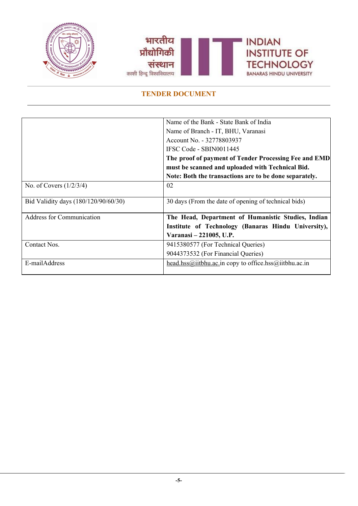



|                                      | Name of the Bank - State Bank of India                 |
|--------------------------------------|--------------------------------------------------------|
|                                      | Name of Branch - IT, BHU, Varanasi                     |
|                                      | Account No. - 32778803937                              |
|                                      | IFSC Code - SBIN0011445                                |
|                                      | The proof of payment of Tender Processing Fee and EMD  |
|                                      | must be scanned and uploaded with Technical Bid.       |
|                                      | Note: Both the transactions are to be done separately. |
| No. of Covers $(1/2/3/4)$            | 02                                                     |
|                                      |                                                        |
| Bid Validity days (180/120/90/60/30) | 30 days (From the date of opening of technical bids)   |
| <b>Address for Communication</b>     | The Head, Department of Humanistic Studies, Indian     |
|                                      | Institute of Technology (Banaras Hindu University),    |
|                                      | Varanasi – 221005, U.P.                                |
| Contact Nos.                         | 9415380577 (For Technical Queries)                     |
|                                      | 9044373532 (For Financial Queries)                     |
| E-mailAddress                        | head.hss@iitbhu.ac.in copy to office.hss@iitbhu.ac.in  |
|                                      |                                                        |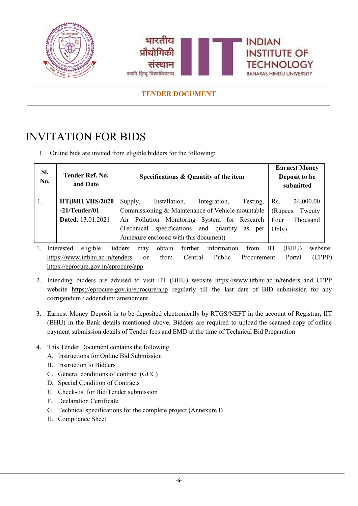



# <span id="page-6-0"></span>INVITATION FOR BIDS

1. Online bids are invited from eligible bidders for the following:

| SI.<br>No. | Tender Ref. No.<br>and Date | Specifications & Quantity of the item                   | <b>Earnest Money</b><br>Deposit to be<br>submitted |
|------------|-----------------------------|---------------------------------------------------------|----------------------------------------------------|
|            | $\text{IIT(BHU)/HS}/2020$   | Installation,<br>Supply,<br>Integration,<br>Testing,    | 24,000.00<br>Rs.                                   |
|            | $-21/T$ ender/01            | Commissioning & Maintenance of Vehicle mountable        | (Rupees<br>Twenty                                  |
|            | Dated: 13.01.2021           | Air Pollution Monitoring System for Research            | Four<br>Thousand                                   |
|            |                             | specifications and quantity<br>(Technical)<br>as<br>per | Only)                                              |
|            |                             | Annexure enclosed with this document)                   |                                                    |

- 1. Interested eligible Bidders may obtain further information from IIT (BHU) website: <https://www.iitbhu.ac.in/tenders> or from Central Public Procurement Portal (CPPP) [https://eprocure.gov.in/eprocure/app.](https://eprocure.gov.in/eprocure/app)
- 2. Intending bidders are advised to visit IIT (BHU) website <https://www.iitbhu.ac.in/tenders> and CPPP website <https://eprocure.gov.in/eprocure/app> regularly till the last date of BID submission for any corrigendum / addendum/ amendment.
- 3. Earnest Money Deposit is to be deposited electronically by RTGS/NEFT in the account of Registrar, IIT (BHU) in the Bank details mentioned above. Bidders are required to upload the scanned copy of online payment submission details of Tender fees and EMD at the time of Technical Bid Preparation.
- 4. This Tender Document contains the following:
	- A. Instructions for Online Bid Submission
	- B. Instruction to Bidders
	- C. General conditions of contract (GCC)
	- D. Special Condition of Contracts
	- E. Check-list for Bid/Tender submission
	- F. Declaration Certificate
	- G. Technical specifications for the complete project (Annexure I)
	- H. Compliance Sheet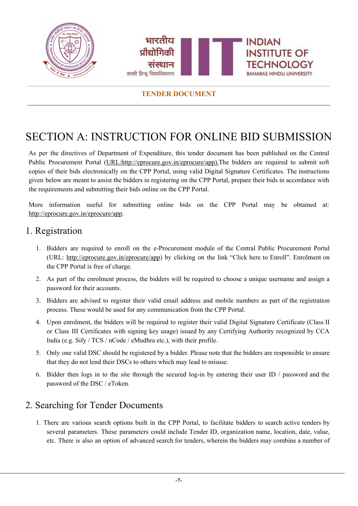

# <span id="page-7-0"></span>SECTION A: INSTRUCTION FOR ONLINE BID SUBMISSION

As per the directives of Department of Expenditure, this tender document has been published on the Central Public Procurement Portal [\(URL:http://eprocure.gov.in/eprocure/app\).](http://eprocure.gov.in/eprocure/app)The bidders are required to submit soft copies of their bids electronically on the CPP Portal, using valid Digital Signature Certificates. The instructions given below are meant to assist the bidders in registering on the CPP Portal, prepare their bids in accordance with the requirements and submitting their bids online on the CPP Portal.

More information useful for submitting online bids on the CPP Portal may be obtained at: <http://eprocure.gov.in/eprocure/app>.

## <span id="page-7-1"></span>1. Registration

- 1. Bidders are required to enroll on the e-Procurement module of the Central Public Procurement Portal (URL: [http://eprocure.gov.in/eprocure/app\)](http://eprocure.gov.in/eprocure/app) by clicking on the link "Click here to Enroll". Enrolment on the CPP Portal is free of charge.
- 2. As part of the enrolment process, the bidders will be required to choose a unique username and assign a password for their accounts.
- 3. Bidders are advised to register their valid email address and mobile numbers as part of the registration process. These would be used for any communication from the CPP Portal.
- 4. Upon enrolment, the bidders will be required to register their valid Digital Signature Certificate (Class II or Class III Certificates with signing key usage) issued by any Certifying Authority recognized by CCA India (e.g. Sify / TCS / nCode / eMudhra etc.), with their profile.
- 5. Only one valid DSC should be registered by a bidder. Please note that the bidders are responsible to ensure that they do not lend their DSCs to others which may lead to misuse.
- 6. Bidder then logs in to the site through the secured log-in by entering their user ID / password and the password of the DSC / eToken.

## <span id="page-7-2"></span>2. Searching for Tender Documents

1. There are various search options built in the CPP Portal, to facilitate bidders to search active tenders by several parameters. These parameters could include Tender ID, organization name, location, date, value, etc. There is also an option of advanced search for tenders, wherein the bidders may combine a number of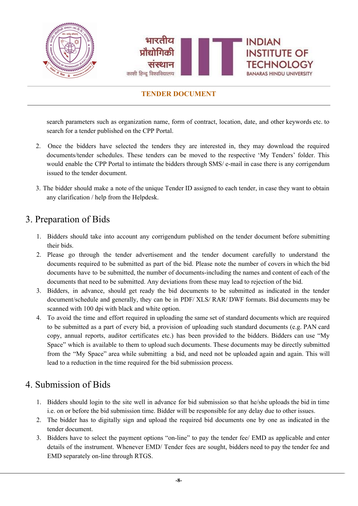

search parameters such as organization name, form of contract, location, date, and other keywords etc. to search for a tender published on the CPP Portal.

- 2. Once the bidders have selected the tenders they are interested in, they may download the required documents/tender schedules. These tenders can be moved to the respective 'My Tenders' folder. This would enable the CPP Portal to intimate the bidders through SMS/ e-mail in case there is any corrigendum issued to the tender document.
- 3. The bidder should make a note of the unique Tender ID assigned to each tender, in case they want to obtain any clarification / help from the Helpdesk.

## <span id="page-8-0"></span>3. Preparation of Bids

- 1. Bidders should take into account any corrigendum published on the tender document before submitting their bids.
- 2. Please go through the tender advertisement and the tender document carefully to understand the documents required to be submitted as part of the bid. Please note the number of covers in which the bid documents have to be submitted, the number of documents-including the names and content of each of the documents that need to be submitted. Any deviations from these may lead to rejection of the bid.
- 3. Bidders, in advance, should get ready the bid documents to be submitted as indicated in the tender document/schedule and generally, they can be in PDF/ XLS/ RAR/ DWF formats. Bid documents may be scanned with 100 dpi with black and white option.
- 4. To avoid the time and effort required in uploading the same set of standard documents which are required to be submitted as a part of every bid, a provision of uploading such standard documents (e.g. PAN card copy, annual reports, auditor certificates etc.) has been provided to the bidders. Bidders can use "My Space" which is available to them to upload such documents. These documents may be directly submitted from the "My Space" area while submitting a bid, and need not be uploaded again and again. This will lead to a reduction in the time required for the bid submission process.

## <span id="page-8-1"></span>4. Submission of Bids

- 1. Bidders should login to the site well in advance for bid submission so that he/she uploads the bid in time i.e. on or before the bid submission time. Bidder will be responsible for any delay due to other issues.
- 2. The bidder has to digitally sign and upload the required bid documents one by one as indicated in the tender document.
- 3. Bidders have to select the payment options "on-line" to pay the tender fee/ EMD as applicable and enter details of the instrument. Whenever EMD/ Tender fees are sought, bidders need to pay the tender fee and EMD separately on-line through RTGS.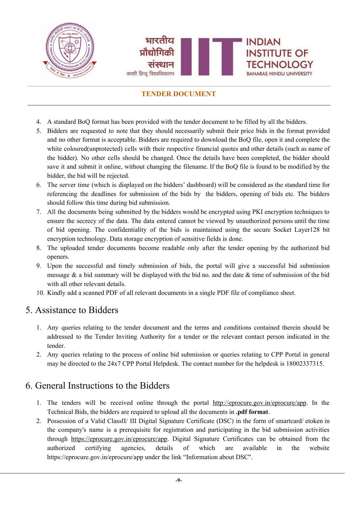

- 4. A standard BoQ format has been provided with the tender document to be filled by all the bidders.
- 5. Bidders are requested to note that they should necessarily submit their price bids in the format provided and no other format is acceptable. Bidders are required to download the BoQ file, open it and complete the white coloured(unprotected) cells with their respective financial quotes and other details (such as name of the bidder). No other cells should be changed. Once the details have been completed, the bidder should save it and submit it online, without changing the filename. If the BoQ file is found to be modified by the bidder, the bid will be rejected.
- 6. The server time (which is displayed on the bidders' dashboard) will be considered as the standard time for referencing the deadlines for submission of the bids by the bidders, opening of bids etc. The bidders should follow this time during bid submission.
- 7. All the documents being submitted by the bidders would be encrypted using PKI encryption techniques to ensure the secrecy of the data. The data entered cannot be viewed by unauthorized persons until the time of bid opening. The confidentiality of the bids is maintained using the secure Socket Layer128 bit encryption technology. Data storage encryption of sensitive fields is done.
- 8. The uploaded tender documents become readable only after the tender opening by the authorized bid openers.
- 9. Upon the successful and timely submission of bids, the portal will give a successful bid submission message  $\&$  a bid summary will be displayed with the bid no. and the date  $\&$  time of submission of the bid with all other relevant details.
- 10. Kindly add a scanned PDF of all relevant documents in a single PDF file of compliance sheet.

## <span id="page-9-0"></span>5. Assistance to Bidders

- 1. Any queries relating to the tender document and the terms and conditions contained therein should be addressed to the Tender Inviting Authority for a tender or the relevant contact person indicated in the tender.
- 2. Any queries relating to the process of online bid submission or queries relating to CPP Portal in general may be directed to the 24x7 CPP Portal Helpdesk. The contact number for the helpdesk is 18002337315.

## <span id="page-9-1"></span>6. General Instructions to the Bidders

- 1. The tenders will be received online through the portal [http://eprocure.gov.in/eprocure/app.](http://eprocure.gov.in/eprocure/app) In the Technical Bids, the bidders are required to upload all the documents in **.pdf format**.
- 2. Possession of a Valid ClassII/ III Digital Signature Certificate (DSC) in the form of smartcard/ etoken in the company's name is a prerequisite for registration and participating in the bid submission activities through <https://eprocure.gov.in/eprocure/app>. Digital Signature Certificates can be obtained from the authorized certifying agencies, details of which are available in the website https://eprocure.gov.in/eprocure/app under the link "Information about DSC''.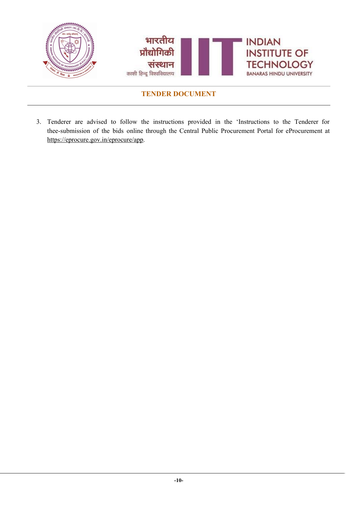

3. Tenderer are advised to follow the instructions provided in the 'Instructions to the Tenderer for thee-submission of the bids online through the Central Public Procurement Portal for eProcurement [at](https://eprocure.gov.in/eprocure/app) [https://eprocure.gov.in/eprocure/app.](https://eprocure.gov.in/eprocure/app)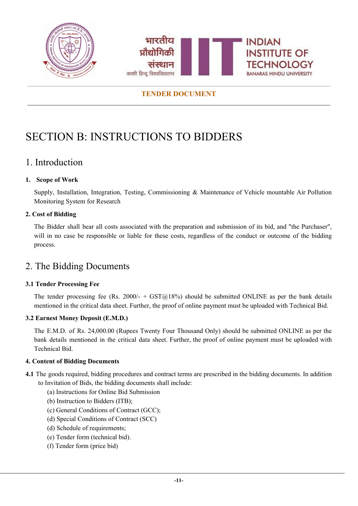



# <span id="page-11-0"></span>SECTION B: INSTRUCTIONS TO BIDDERS

## <span id="page-11-1"></span>1. Introduction

### **1. Scope of Work**

Supply, Installation, Integration, Testing, Commissioning & Maintenance of Vehicle mountable Air Pollution Monitoring System for Research

### **2. Cost of Bidding**

The Bidder shall bear all costs associated with the preparation and submission of its bid, and "the Purchaser", will in no case be responsible or liable for these costs, regardless of the conduct or outcome of the bidding process.

## <span id="page-11-2"></span>2. The Bidding Documents

### **3.1 Tender Processing Fee**

The tender processing fee (Rs. 2000/- +  $\text{GST@18\%}$ ) should be submitted ONLINE as per the bank details mentioned in the critical data sheet. Further, the proof of online payment must be uploaded with Technical Bid.

#### **3.2 Earnest Money Deposit (E.M.D.)**

The E.M.D. of Rs. 24,000.00 (Rupees Twenty Four Thousand Only) should be submitted ONLINE as per the bank details mentioned in the critical data sheet. Further, the proof of online payment must be uploaded with Technical Bid.

#### **4. Content of Bidding Documents**

- **4.1** The goods required, bidding procedures and contract terms are prescribed in the bidding documents. In addition to Invitation of Bids, the bidding documents shall include:
	- (a) Instructions for Online Bid Submission
	- (b) Instruction to Bidders (ITB);
	- (c) General Conditions of Contract (GCC);
	- (d) Special Conditions of Contract (SCC)
	- (d) Schedule of requirements;
	- (e) Tender form (technical bid).
	- (f) Tender form (price bid)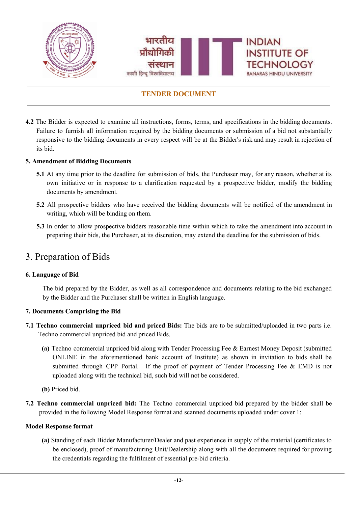

**4.2** The Bidder is expected to examine all instructions, forms, terms, and specifications in the bidding documents. Failure to furnish all information required by the bidding documents or submission of a bid not substantially responsive to the bidding documents in every respect will be at the Bidder's risk and may result in rejection of its bid.

#### **5. Amendment of Bidding Documents**

- **5.1** At any time prior to the deadline for submission of bids, the Purchaser may, for any reason, whether at its own initiative or in response to a clarification requested by a prospective bidder, modify the bidding documents by amendment.
- **5.2** All prospective bidders who have received the bidding documents will be notified of the amendment in writing, which will be binding on them.
- **5.3** In order to allow prospective bidders reasonable time within which to take the amendment into account in preparing their bids, the Purchaser, at its discretion, may extend the deadline for the submission of bids.

## <span id="page-12-0"></span>3. Preparation of Bids

#### **6. Language of Bid**

The bid prepared by the Bidder, as well as all correspondence and documents relating to the bid exchanged by the Bidder and the Purchaser shall be written in English language.

#### **7. Documents Comprising the Bid**

- **7.1 Techno commercial unpriced bid and priced Bids:** The bids are to be submitted/uploaded in two parts i.e. Techno commercial unpriced bid and priced Bids.
	- **(a)** Techno commercial unpriced bid along with Tender Processing Fee & Earnest Money Deposit (submitted ONLINE in the aforementioned bank account of Institute) as shown in invitation to bids shall be submitted through CPP Portal. If the proof of payment of Tender Processing Fee & EMD is not uploaded along with the technical bid, such bid will not be considered.
	- **(b)** Priced bid.
- **7.2 Techno commercial unpriced bid:** The Techno commercial unpriced bid prepared by the bidder shall be provided in the following Model Response format and scanned documents uploaded under cover 1:

#### **Model Response format**

**(a)** Standing of each Bidder Manufacturer/Dealer and past experience in supply of the material (certificates to be enclosed), proof of manufacturing Unit/Dealership along with all the documents required for proving the credentials regarding the fulfilment of essential pre-bid criteria.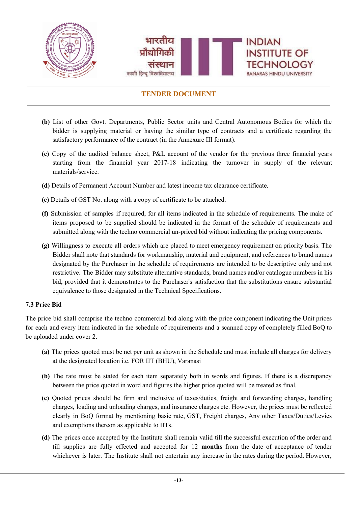

- **(b)** List of other Govt. Departments, Public Sector units and Central Autonomous Bodies for which the bidder is supplying material or having the similar type of contracts and a certificate regarding the satisfactory performance of the contract (in the Annexure III format).
- **(c)** Copy of the audited balance sheet, P&L account of the vendor for the previous three financial years starting from the financial year 2017-18 indicating the turnover in supply of the relevant materials/service.
- **(d)** Details of Permanent Account Number and latest income tax clearance certificate.
- **(e)** Details of GST No. along with a copy of certificate to be attached.
- **(f)** Submission of samples if required, for all items indicated in the schedule of requirements. The make of items proposed to be supplied should be indicated in the format of the schedule of requirements and submitted along with the techno commercial un-priced bid without indicating the pricing components.
- **(g)** Willingness to execute all orders which are placed to meet emergency requirement on priority basis. The Bidder shall note that standards for workmanship, material and equipment, and references to brand names designated by the Purchaser in the schedule of requirements are intended to be descriptive only and not restrictive. The Bidder may substitute alternative standards, brand names and/or catalogue numbers in his bid, provided that it demonstrates to the Purchaser's satisfaction that the substitutions ensure substantial equivalence to those designated in the Technical Specifications.

#### **7.3 Price Bid**

The price bid shall comprise the techno commercial bid along with the price component indicating the Unit prices for each and every item indicated in the schedule of requirements and a scanned copy of completely filled BoQ to be uploaded under cover 2.

- **(a)** The prices quoted must be net per unit as shown in the Schedule and must include all charges for delivery at the designated location i.e. FOR IIT (BHU), Varanasi
- **(b)** The rate must be stated for each item separately both in words and figures. If there is a discrepancy between the price quoted in word and figures the higher price quoted will be treated as final.
- **(c)** Quoted prices should be firm and inclusive of taxes/duties, freight and forwarding charges, handling charges, loading and unloading charges, and insurance charges etc. However, the prices must be reflected clearly in BoQ format by mentioning basic rate, GST, Freight charges, Any other Taxes/Duties/Levies and exemptions thereon as applicable to IITs.
- **(d)** The prices once accepted by the Institute shall remain valid till the successful execution of the order and till supplies are fully effected and accepted for 12 **months** from the date of acceptance of tender whichever is later. The Institute shall not entertain any increase in the rates during the period. However,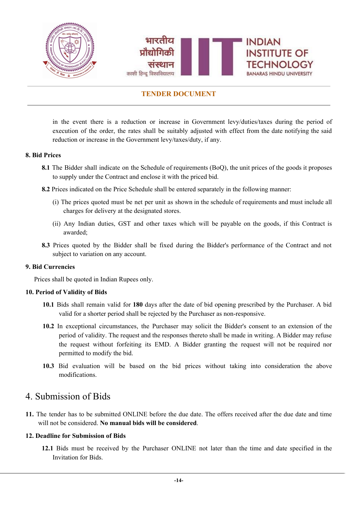

in the event there is a reduction or increase in Government levy/duties/taxes during the period of execution of the order, the rates shall be suitably adjusted with effect from the date notifying the said reduction or increase in the Government levy/taxes/duty, if any.

#### **8. Bid Prices**

- **8.1** The Bidder shall indicate on the Schedule of requirements (BoQ), the unit prices of the goods it proposes to supply under the Contract and enclose it with the priced bid.
- **8.2** Prices indicated on the Price Schedule shall be entered separately in the following manner:
	- (i) The prices quoted must be net per unit as shown in the schedule of requirements and must include all charges for delivery at the designated stores.
	- (ii) Any Indian duties, GST and other taxes which will be payable on the goods, if this Contract is awarded;
- **8.3** Prices quoted by the Bidder shall be fixed during the Bidder's performance of the Contract and not subject to variation on any account.

#### **9. Bid Currencies**

Prices shall be quoted in Indian Rupees only.

#### **10. Period of Validity of Bids**

- **10.1** Bids shall remain valid for **180** days after the date of bid opening prescribed by the Purchaser. A bid valid for a shorter period shall be rejected by the Purchaser as non-responsive.
- **10.2** In exceptional circumstances, the Purchaser may solicit the Bidder's consent to an extension of the period of validity. The request and the responses thereto shall be made in writing. A Bidder may refuse the request without forfeiting its EMD. A Bidder granting the request will not be required nor permitted to modify the bid.
- **10.3** Bid evaluation will be based on the bid prices without taking into consideration the above modifications.

## <span id="page-14-0"></span>4. Submission of Bids

**11.** The tender has to be submitted ONLINE before the due date. The offers received after the due date and time will not be considered. **No manual bids will be considered**.

#### **12. Deadline for Submission of Bids**

**12.1** Bids must be received by the Purchaser ONLINE not later than the time and date specified in the Invitation for Bids.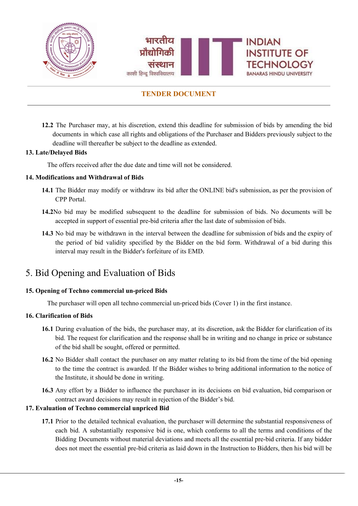

**12.2** The Purchaser may, at his discretion, extend this deadline for submission of bids by amending the bid documents in which case all rights and obligations of the Purchaser and Bidders previously subject to the deadline will thereafter be subject to the deadline as extended.

#### **13. Late/Delayed Bids**

The offers received after the due date and time will not be considered.

#### **14. Modifications and Withdrawal of Bids**

- **14.1** The Bidder may modify or withdraw its bid after the ONLINE bid's submission, as per the provision of CPP Portal.
- **14.2**No bid may be modified subsequent to the deadline for submission of bids. No documents will be accepted in support of essential pre-bid criteria after the last date of submission of bids.
- **14.3** No bid may be withdrawn in the interval between the deadline for submission of bids and the expiry of the period of bid validity specified by the Bidder on the bid form. Withdrawal of a bid during this interval may result in the Bidder's forfeiture of its EMD.

## <span id="page-15-0"></span>5. Bid Opening and Evaluation of Bids

#### **15. Opening of Techno commercial un-priced Bids**

The purchaser will open all techno commercial un-priced bids (Cover 1) in the first instance.

#### **16. Clarification of Bids**

- **16.1** During evaluation of the bids, the purchaser may, at its discretion, ask the Bidder for clarification of its bid. The request for clarification and the response shall be in writing and no change in price or substance of the bid shall be sought, offered or permitted.
- **16.2** No Bidder shall contact the purchaser on any matter relating to its bid from the time of the bid opening to the time the contract is awarded. If the Bidder wishes to bring additional information to the notice of the Institute, it should be done in writing.
- **16.3** Any effort by a Bidder to influence the purchaser in its decisions on bid evaluation, bid comparison or contract award decisions may result in rejection of the Bidder's bid.

#### **17. Evaluation of Techno commercial unpriced Bid**

**17.1** Prior to the detailed technical evaluation, the purchaser will determine the substantial responsiveness of each bid. A substantially responsive bid is one, which conforms to all the terms and conditions of the Bidding Documents without material deviations and meets all the essential pre-bid criteria. If any bidder does not meet the essential pre-bid criteria as laid down in the Instruction to Bidders, then his bid will be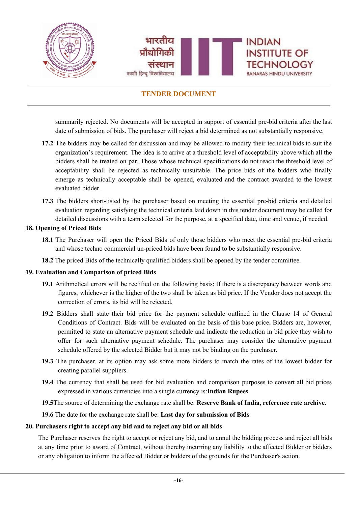

summarily rejected. No documents will be accepted in support of essential pre-bid criteria after the last date of submission of bids. The purchaser will reject a bid determined as not substantially responsive.

- **17.2** The bidders may be called for discussion and may be allowed to modify their technical bids to suit the organization's requirement. The idea is to arrive at a threshold level of acceptability above which all the bidders shall be treated on par. Those whose technical specifications do not reach the threshold level of acceptability shall be rejected as technically unsuitable. The price bids of the bidders who finally emerge as technically acceptable shall be opened, evaluated and the contract awarded to the lowest evaluated bidder.
- **17.3** The bidders short-listed by the purchaser based on meeting the essential pre-bid criteria and detailed evaluation regarding satisfying the technical criteria laid down in this tender document may be called for detailed discussions with a team selected for the purpose, at a specified date, time and venue, if needed.

#### **18. Opening of Priced Bids**

- **18.1** The Purchaser will open the Priced Bids of only those bidders who meet the essential pre-bid criteria and whose techno commercial un-priced bids have been found to be substantially responsive.
- **18.2** The priced Bids of the technically qualified bidders shall be opened by the tender committee.

#### **19. Evaluation and Comparison of priced Bids**

- **19.1** Arithmetical errors will be rectified on the following basis: If there is a discrepancy between words and figures, whichever is the higher of the two shall be taken as bid price. If the Vendor does not accept the correction of errors, its bid will be rejected.
- **19.2** Bidders shall state their bid price for the payment schedule outlined in the Clause 14 of General Conditions of Contract. Bids will be evaluated on the basis of this base price**.** Bidders are, however, permitted to state an alternative payment schedule and indicate the reduction in bid price they wish to offer for such alternative payment schedule. The purchaser may consider the alternative payment schedule offered by the selected Bidder but it may not be binding on the purchaser**.**
- **19.3** The purchaser, at its option may ask some more bidders to match the rates of the lowest bidder for creating parallel suppliers.
- **19.4** The currency that shall be used for bid evaluation and comparison purposes to convert all bid prices expressed in various currencies into a single currency is:**Indian Rupees**
- **19.5**The source of determining the exchange rate shall be: **Reserve Bank of India, reference rate archive**.

**19.6** The date for the exchange rate shall be: **Last day for submission of Bids**.

#### **20. Purchasers right to accept any bid and to reject any bid or all bids**

The Purchaser reserves the right to accept or reject any bid, and to annul the bidding process and reject all bids at any time prior to award of Contract, without thereby incurring any liability to the affected Bidder or bidders or any obligation to inform the affected Bidder or bidders of the grounds for the Purchaser's action.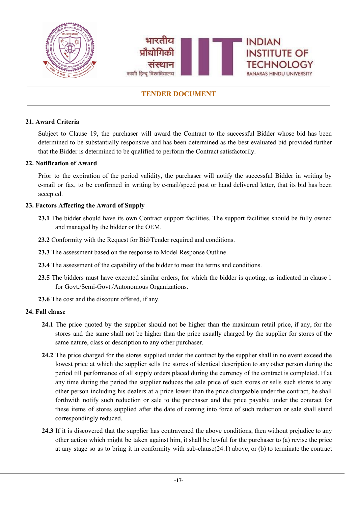

### **21. Award Criteria**

Subject to Clause 19, the purchaser will award the Contract to the successful Bidder whose bid has been determined to be substantially responsive and has been determined as the best evaluated bid provided further that the Bidder is determined to be qualified to perform the Contract satisfactorily.

#### **22. Notification of Award**

Prior to the expiration of the period validity, the purchaser will notify the successful Bidder in writing by e-mail or fax, to be confirmed in writing by e-mail/speed post or hand delivered letter, that its bid has been accepted.

#### **23. Factors Affecting the Award of Supply**

- **23.1** The bidder should have its own Contract support facilities. The support facilities should be fully owned and managed by the bidder or the OEM.
- **23.2** Conformity with the Request for Bid/Tender required and conditions.
- **23.3** The assessment based on the response to Model Response Outline.
- **23.4** The assessment of the capability of the bidder to meet the terms and conditions.
- **23.5** The bidders must have executed similar orders, for which the bidder is quoting, as indicated in clause 1 for Govt./Semi-Govt./Autonomous Organizations.
- **23.6** The cost and the discount offered, if any.

#### **24. Fall clause**

- **24.1** The price quoted by the supplier should not be higher than the maximum retail price, if any, for the stores and the same shall not be higher than the price usually charged by the supplier for stores of the same nature, class or description to any other purchaser.
- **24.2** The price charged for the stores supplied under the contract by the supplier shall in no event exceed the lowest price at which the supplier sells the stores of identical description to any other person during the period till performance of all supply orders placed during the currency of the contract is completed. If at any time during the period the supplier reduces the sale price of such stores or sells such stores to any other person including his dealers at a price lower than the price chargeable under the contract, he shall forthwith notify such reduction or sale to the purchaser and the price payable under the contract for these items of stores supplied after the date of coming into force of such reduction or sale shall stand correspondingly reduced.
- **24.3** If it is discovered that the supplier has contravened the above conditions, then without prejudice to any other action which might be taken against him, it shall be lawful for the purchaser to (a) revise the price at any stage so as to bring it in conformity with sub-clause(24.1) above, or (b) to terminate the contract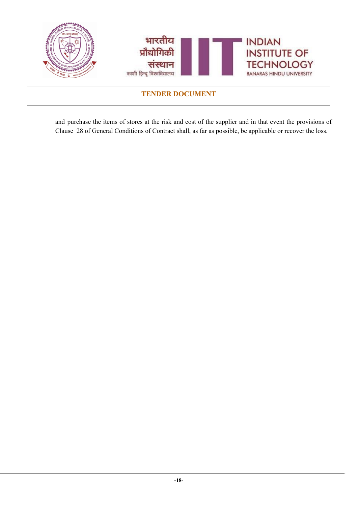

and purchase the items of stores at the risk and cost of the supplier and in that event the provisions of Clause 28 of General Conditions of Contract shall, as far as possible, be applicable or recover the loss.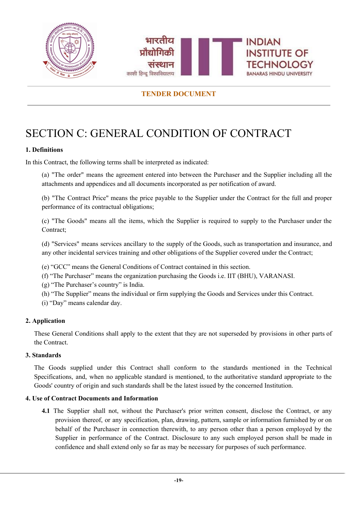



# <span id="page-19-0"></span>SECTION C: GENERAL CONDITION OF CONTRACT

### **1. Definitions**

In this Contract, the following terms shall be interpreted as indicated:

(a) "The order" means the agreement entered into between the Purchaser and the Supplier including all the attachments and appendices and all documents incorporated as per notification of award.

(b) "The Contract Price" means the price payable to the Supplier under the Contract for the full and proper performance of its contractual obligations;

(c) "The Goods" means all the items, which the Supplier is required to supply to the Purchaser under the Contract;

(d) "Services" means services ancillary to the supply of the Goods, such as transportation and insurance, and any other incidental services training and other obligations of the Supplier covered under the Contract;

(e) "GCC" means the General Conditions of Contract contained in this section.

(f) "The Purchaser" means the organization purchasing the Goods i.e. IIT (BHU), VARANASI.

(g) "The Purchaser's country" is India.

(h) "The Supplier" means the individual or firm supplying the Goods and Services under this Contract.

(i) "Day" means calendar day.

### **2. Application**

These General Conditions shall apply to the extent that they are not superseded by provisions in other parts of the Contract.

#### **3. Standards**

The Goods supplied under this Contract shall conform to the standards mentioned in the Technical Specifications, and, when no applicable standard is mentioned, to the authoritative standard appropriate to the Goods' country of origin and such standards shall be the latest issued by the concerned Institution.

#### **4. Use of Contract Documents and Information**

**4.1** The Supplier shall not, without the Purchaser's prior written consent, disclose the Contract, or any provision thereof, or any specification, plan, drawing, pattern, sample or information furnished by or on behalf of the Purchaser in connection therewith, to any person other than a person employed by the Supplier in performance of the Contract. Disclosure to any such employed person shall be made in confidence and shall extend only so far as may be necessary for purposes of such performance.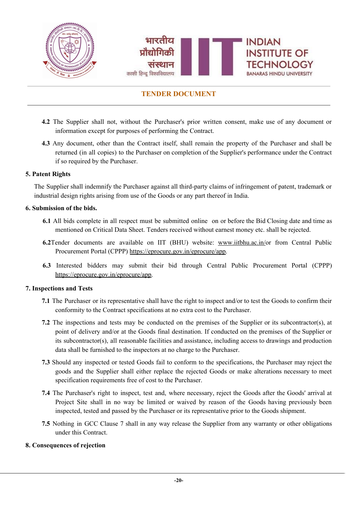

- **4.2** The Supplier shall not, without the Purchaser's prior written consent, make use of any document or information except for purposes of performing the Contract.
- **4.3** Any document, other than the Contract itself, shall remain the property of the Purchaser and shall be returned (in all copies) to the Purchaser on completion of the Supplier's performance under the Contract if so required by the Purchaser.

### **5. Patent Rights**

The Supplier shall indemnify the Purchaser against all third-party claims of infringement of patent, trademark or industrial design rights arising from use of the Goods or any part thereof in India.

#### **6. Submission of the bids.**

- **6.1** All bids complete in all respect must be submitted online on or before the Bid Closing date and time as mentioned on Critical Data Sheet. Tenders received without earnest money etc. shall be rejected.
- **6.2**Tender documents are available on IIT (BHU) website: [www.iitbhu.ac.in/](http://www.iitbhu.ac.in/)or from Central Public Procurement Portal (CPPP) [https://eprocure.gov.in/eprocure/app.](https://eprocure.gov.in/eprocure/app)
- **6.3** Interested bidders may submit their bid through Central Public Procurement Portal (CPPP) <https://eprocure.gov.in/eprocure/app>.

#### **7. Inspections and Tests**

- **7.1** The Purchaser or its representative shall have the right to inspect and/or to test the Goods to confirm their conformity to the Contract specifications at no extra cost to the Purchaser.
- **7.2** The inspections and tests may be conducted on the premises of the Supplier or its subcontractor(s), at point of delivery and/or at the Goods final destination. If conducted on the premises of the Supplier or its subcontractor(s), all reasonable facilities and assistance, including access to drawings and production data shall be furnished to the inspectors at no charge to the Purchaser.
- **7.3** Should any inspected or tested Goods fail to conform to the specifications, the Purchaser may reject the goods and the Supplier shall either replace the rejected Goods or make alterations necessary to meet specification requirements free of cost to the Purchaser.
- **7.4** The Purchaser's right to inspect, test and, where necessary, reject the Goods after the Goods' arrival at Project Site shall in no way be limited or waived by reason of the Goods having previously been inspected, tested and passed by the Purchaser or its representative prior to the Goods shipment.
- **7.5** Nothing in GCC Clause 7 shall in any way release the Supplier from any warranty or other obligations under this Contract.

#### **8. Consequences of rejection**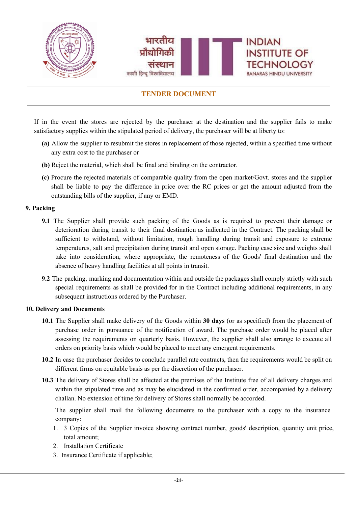

If in the event the stores are rejected by the purchaser at the destination and the supplier fails to make satisfactory supplies within the stipulated period of delivery, the purchaser will be at liberty to:

- **(a)** Allow the supplier to resubmit the stores in replacement of those rejected, within a specified time without any extra cost to the purchaser or
- **(b)** Reject the material, which shall be final and binding on the contractor.
- **(c)** Procure the rejected materials of comparable quality from the open market/Govt. stores and the supplier shall be liable to pay the difference in price over the RC prices or get the amount adjusted from the outstanding bills of the supplier, if any or EMD.

#### **9. Packing**

- **9.1** The Supplier shall provide such packing of the Goods as is required to prevent their damage or deterioration during transit to their final destination as indicated in the Contract. The packing shall be sufficient to withstand, without limitation, rough handling during transit and exposure to extreme temperatures, salt and precipitation during transit and open storage. Packing case size and weights shall take into consideration, where appropriate, the remoteness of the Goods' final destination and the absence of heavy handling facilities at all points in transit.
- **9.2** The packing, marking and documentation within and outside the packages shall comply strictly with such special requirements as shall be provided for in the Contract including additional requirements, in any subsequent instructions ordered by the Purchaser.

#### **10. Delivery and Documents**

- **10.1** The Supplier shall make delivery of the Goods within **30 days** (or as specified) from the placement of purchase order in pursuance of the notification of award. The purchase order would be placed after assessing the requirements on quarterly basis. However, the supplier shall also arrange to execute all orders on priority basis which would be placed to meet any emergent requirements.
- **10.2** In case the purchaser decides to conclude parallel rate contracts, then the requirements would be split on different firms on equitable basis as per the discretion of the purchaser.
- **10.3** The delivery of Stores shall be affected at the premises of the Institute free of all delivery charges and within the stipulated time and as may be elucidated in the confirmed order, accompanied by a delivery challan. No extension of time for delivery of Stores shall normally be accorded.

The supplier shall mail the following documents to the purchaser with a copy to the insurance company:

- 1. 3 Copies of the Supplier invoice showing contract number, goods' description, quantity unit price, total amount;
- 2. Installation Certificate
- 3. Insurance Certificate if applicable;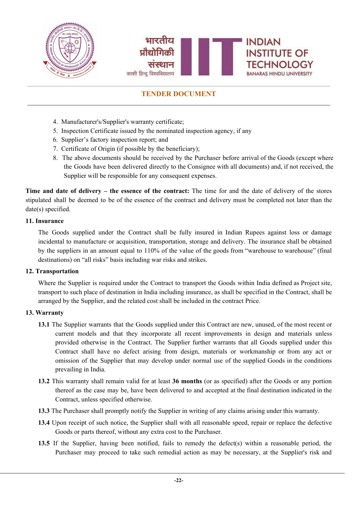

- 4. Manufacturer's/Supplier's warranty certificate;
- 5. Inspection Certificate issued by the nominated inspection agency, if any
- 6. Supplier's factory inspection report; and
- 7. Certificate of Origin (if possible by the beneficiary);
- 8. The above documents should be received by the Purchaser before arrival of the Goods (except where the Goods have been delivered directly to the Consignee with all documents) and, if not received, the Supplier will be responsible for any consequent expenses.

**Time and date of delivery – the essence of the contract:** The time for and the date of delivery of the stores stipulated shall be deemed to be of the essence of the contract and delivery must be completed not later than the date(s) specified.

#### **11. Insurance**

The Goods supplied under the Contract shall be fully insured in Indian Rupees against loss or damage incidental to manufacture or acquisition, transportation, storage and delivery. The insurance shall be obtained by the suppliers in an amount equal to 110% of the value of the goods from "warehouse to warehouse" (final destinations) on "all risks" basis including war risks and strikes.

#### **12. Transportation**

Where the Supplier is required under the Contract to transport the Goods within India defined as Project site, transport to such place of destination in India including insurance, as shall be specified in the Contract, shall be arranged by the Supplier, and the related cost shall be included in the contract Price.

#### **13. Warranty**

- **13.1** The Supplier warrants that the Goods supplied under this Contract are new, unused, of the most recent or current models and that they incorporate all recent improvements in design and materials unless provided otherwise in the Contract. The Supplier further warrants that all Goods supplied under this Contract shall have no defect arising from design, materials or workmanship or from any act or omission of the Supplier that may develop under normal use of the supplied Goods in the conditions prevailing in India.
- **13.2** This warranty shall remain valid for at least **36 months** (or as specified) after the Goods or any portion thereof as the case may be, have been delivered to and accepted at the final destination indicated in the Contract, unless specified otherwise.
- **13.3** The Purchaser shall promptly notify the Supplier in writing of any claims arising under this warranty.
- **13.4** Upon receipt of such notice, the Supplier shall with all reasonable speed, repair or replace the defective Goods or parts thereof, without any extra cost to the Purchaser.
- **13.5** If the Supplier, having been notified, fails to remedy the defect(s) within a reasonable period, the Purchaser may proceed to take such remedial action as may be necessary, at the Supplier's risk and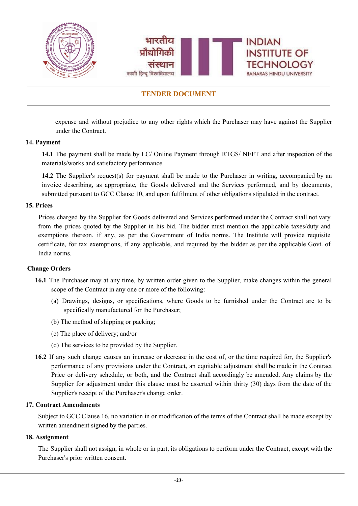

expense and without prejudice to any other rights which the Purchaser may have against the Supplier under the Contract.

#### **14. Payment**

**14.1** The payment shall be made by LC/ Online Payment through RTGS/ NEFT and after inspection of the materials/works and satisfactory performance.

**14.2** The Supplier's request(s) for payment shall be made to the Purchaser in writing, accompanied by an invoice describing, as appropriate, the Goods delivered and the Services performed, and by documents, submitted pursuant to GCC Clause 10, and upon fulfilment of other obligations stipulated in the contract.

#### **15. Prices**

Prices charged by the Supplier for Goods delivered and Services performed under the Contract shall not vary from the prices quoted by the Supplier in his bid. The bidder must mention the applicable taxes/duty and exemptions thereon, if any, as per the Government of India norms. The Institute will provide requisite certificate, for tax exemptions, if any applicable, and required by the bidder as per the applicable Govt. of India norms.

#### **Change Orders**

- **16.1** The Purchaser may at any time, by written order given to the Supplier, make changes within the general scope of the Contract in any one or more of the following:
	- (a) Drawings, designs, or specifications, where Goods to be furnished under the Contract are to be specifically manufactured for the Purchaser;
	- (b) The method of shipping or packing;
	- (c) The place of delivery; and/or
	- (d) The services to be provided by the Supplier.
- **16.2** If any such change causes an increase or decrease in the cost of, or the time required for, the Supplier's performance of any provisions under the Contract, an equitable adjustment shall be made in the Contract Price or delivery schedule, or both, and the Contract shall accordingly be amended. Any claims by the Supplier for adjustment under this clause must be asserted within thirty (30) days from the date of the Supplier's receipt of the Purchaser's change order.

#### **17. Contract Amendments**

Subject to GCC Clause 16, no variation in or modification of the terms of the Contract shall be made except by written amendment signed by the parties.

#### **18. Assignment**

The Supplier shall not assign, in whole or in part, its obligations to perform under the Contract, except with the Purchaser's prior written consent.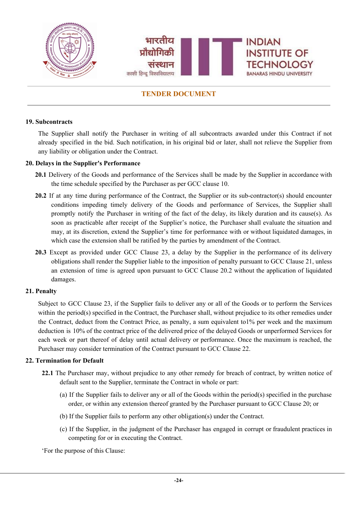

#### **19. Subcontracts**

The Supplier shall notify the Purchaser in writing of all subcontracts awarded under this Contract if not already specified in the bid. Such notification, in his original bid or later, shall not relieve the Supplier from any liability or obligation under the Contract.

#### **20. Delays in the Supplier's Performance**

- **20.1** Delivery of the Goods and performance of the Services shall be made by the Supplier in accordance with the time schedule specified by the Purchaser as per GCC clause 10.
- **20.2** If at any time during performance of the Contract, the Supplier or its sub-contractor(s) should encounter conditions impeding timely delivery of the Goods and performance of Services, the Supplier shall promptly notify the Purchaser in writing of the fact of the delay, its likely duration and its cause(s). As soon as practicable after receipt of the Supplier's notice, the Purchaser shall evaluate the situation and may, at its discretion, extend the Supplier's time for performance with or without liquidated damages, in which case the extension shall be ratified by the parties by amendment of the Contract.
- **20.3** Except as provided under GCC Clause 23, a delay by the Supplier in the performance of its delivery obligations shall render the Supplier liable to the imposition of penalty pursuant to GCC Clause 21, unless an extension of time is agreed upon pursuant to GCC Clause 20.2 without the application of liquidated damages.

#### **21. Penalty**

Subject to GCC Clause 23, if the Supplier fails to deliver any or all of the Goods or to perform the Services within the period(s) specified in the Contract, the Purchaser shall, without prejudice to its other remedies under the Contract, deduct from the Contract Price, as penalty, a sum equivalent to1% per week and the maximum deduction is 10% of the contract price of the delivered price of the delayed Goods or unperformed Services for each week or part thereof of delay until actual delivery or performance. Once the maximum is reached, the Purchaser may consider termination of the Contract pursuant to GCC Clause 22.

#### **22. Termination for Default**

- **22.1** The Purchaser may, without prejudice to any other remedy for breach of contract, by written notice of default sent to the Supplier, terminate the Contract in whole or part:
	- (a) If the Supplier fails to deliver any or all of the Goods within the period(s) specified in the purchase order, or within any extension thereof granted by the Purchaser pursuant to GCC Clause 20; or
	- (b) If the Supplier fails to perform any other obligation(s) under the Contract.
	- (c) If the Supplier, in the judgment of the Purchaser has engaged in corrupt or fraudulent practices in competing for or in executing the Contract.

'For the purpose of this Clause: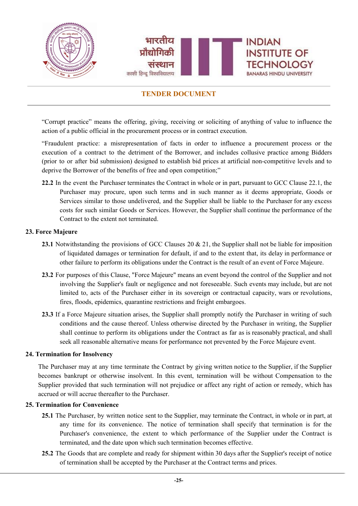

"Corrupt practice" means the offering, giving, receiving or soliciting of anything of value to influence the action of a public official in the procurement process or in contract execution.

"Fraudulent practice: a misrepresentation of facts in order to influence a procurement process or the execution of a contract to the detriment of the Borrower, and includes collusive practice among Bidders (prior to or after bid submission) designed to establish bid prices at artificial non-competitive levels and to deprive the Borrower of the benefits of free and open competition;"

**22.2** In the event the Purchaser terminates the Contract in whole or in part, pursuant to GCC Clause 22.1, the Purchaser may procure, upon such terms and in such manner as it deems appropriate, Goods or Services similar to those undelivered, and the Supplier shall be liable to the Purchaser for any excess costs for such similar Goods or Services. However, the Supplier shall continue the performance of the Contract to the extent not terminated.

#### **23. Force Majeure**

- 23.1 Notwithstanding the provisions of GCC Clauses 20 & 21, the Supplier shall not be liable for imposition of liquidated damages or termination for default, if and to the extent that, its delay in performance or other failure to perform its obligations under the Contract is the result of an event of Force Majeure.
- **23.2** For purposes of this Clause, "Force Majeure" means an event beyond the control of the Supplier and not involving the Supplier's fault or negligence and not foreseeable. Such events may include, but are not limited to, acts of the Purchaser either in its sovereign or contractual capacity, wars or revolutions, fires, floods, epidemics, quarantine restrictions and freight embargoes.
- **23.3** If a Force Majeure situation arises, the Supplier shall promptly notify the Purchaser in writing of such conditions and the cause thereof. Unless otherwise directed by the Purchaser in writing, the Supplier shall continue to perform its obligations under the Contract as far as is reasonably practical, and shall seek all reasonable alternative means for performance not prevented by the Force Majeure event.

#### **24. Termination for Insolvency**

The Purchaser may at any time terminate the Contract by giving written notice to the Supplier, if the Supplier becomes bankrupt or otherwise insolvent. In this event, termination will be without Compensation to the Supplier provided that such termination will not prejudice or affect any right of action or remedy, which has accrued or will accrue thereafter to the Purchaser.

#### **25. Termination for Convenience**

- **25.1** The Purchaser, by written notice sent to the Supplier, may terminate the Contract, in whole or in part, at any time for its convenience. The notice of termination shall specify that termination is for the Purchaser's convenience, the extent to which performance of the Supplier under the Contract is terminated, and the date upon which such termination becomes effective.
- **25.2** The Goods that are complete and ready for shipment within 30 days after the Supplier's receipt of notice of termination shall be accepted by the Purchaser at the Contract terms and prices.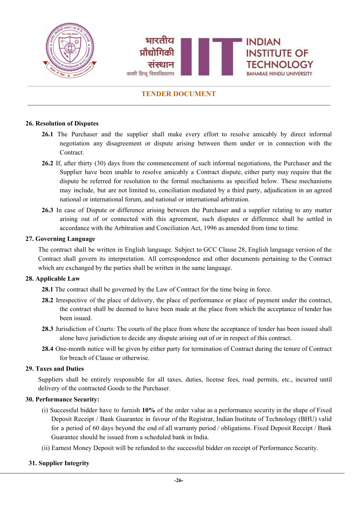

#### **26. Resolution of Disputes**

- 26.1 The Purchaser and the supplier shall make every effort to resolve amicably by direct informal negotiation any disagreement or dispute arising between them under or in connection with the **Contract**
- **26.2** If, after thirty (30) days from the commencement of such informal negotiations, the Purchaser and the Supplier have been unable to resolve amicably a Contract dispute, either party may require that the dispute be referred for resolution to the formal mechanisms as specified below. These mechanisms may include, but are not limited to, conciliation mediated by a third party, adjudication in an agreed national or international forum, and national or international arbitration.
- **26.3** In case of Dispute or difference arising between the Purchaser and a supplier relating to any matter arising out of or connected with this agreement, such disputes or difference shall be settled in accordance with the Arbitration and Conciliation Act, 1996 as amended from time to time.

#### **27. Governing Language**

The contract shall be written in English language. Subject to GCC Clause 28, English language version of the Contract shall govern its interpretation. All correspondence and other documents pertaining to the Contract which are exchanged by the parties shall be written in the same language.

#### **28. Applicable Law**

**28.1** The contract shall be governed by the Law of Contract for the time being in force.

- **28.2** Irrespective of the place of delivery, the place of performance or place of payment under the contract, the contract shall be deemed to have been made at the place from which the acceptance of tender has been issued.
- **28.3** Jurisdiction of Courts: The courts of the place from where the acceptance of tender has been issued shall alone have jurisdiction to decide any dispute arising out of or in respect of this contract.
- **28.4** One-month notice will be given by either party for termination of Contract during the tenure of Contract for breach of Clause or otherwise.

#### **29. Taxes and Duties**

Suppliers shall be entirely responsible for all taxes, duties, license fees, road permits, etc., incurred until delivery of the contracted Goods to the Purchaser.

#### **30. Performance Security:**

- (i) Successful bidder have to furnish **10%** of the order value as a performance security in the shape of Fixed Deposit Receipt / Bank Guarantee in favour of the Registrar, Indian Institute of Technology (BHU) valid for a period of 60 days beyond the end of all warranty period / obligations. Fixed Deposit Receipt / Bank Guarantee should be issued from a scheduled bank in India.
- (ii) Earnest Money Deposit will be refunded to the successful bidder on receipt of Performance Security.

#### **31. Supplier Integrity**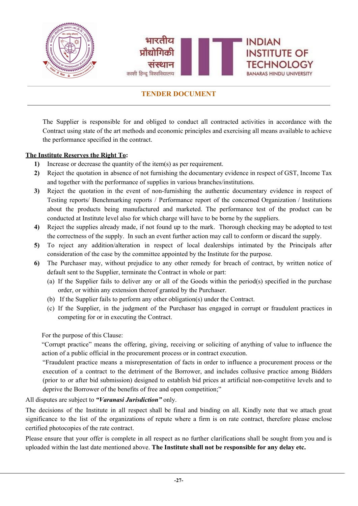

The Supplier is responsible for and obliged to conduct all contracted activities in accordance with the Contract using state of the art methods and economic principles and exercising all means available to achieve the performance specified in the contract.

### **The Institute Reserves the Right To:**

- **1)** Increase or decrease the quantity of the item(s) as per requirement.
- **2)** Reject the quotation in absence of not furnishing the documentary evidence in respect of GST, Income Tax and together with the performance of supplies in various branches/institutions.
- **3)** Reject the quotation in the event of non-furnishing the authentic documentary evidence in respect of Testing reports/ Benchmarking reports / Performance report of the concerned Organization / Institutions about the products being manufactured and marketed. The performance test of the product can be conducted at Institute level also for which charge will have to be borne by the suppliers.
- **4)** Reject the supplies already made, if not found up to the mark. Thorough checking may be adopted to test the correctness of the supply. In such an event further action may call to conform or discard the supply.
- **5)** To reject any addition/alteration in respect of local dealerships intimated by the Principals after consideration of the case by the committee appointed by the Institute for the purpose.
- **6)** The Purchaser may, without prejudice to any other remedy for breach of contract, by written notice of default sent to the Supplier, terminate the Contract in whole or part:
	- (a) If the Supplier fails to deliver any or all of the Goods within the period(s) specified in the purchase order, or within any extension thereof granted by the Purchaser.
	- (b) If the Supplier fails to perform any other obligation(s) under the Contract.
	- (c) If the Supplier, in the judgment of the Purchaser has engaged in corrupt or fraudulent practices in competing for or in executing the Contract.

For the purpose of this Clause:

"Corrupt practice" means the offering, giving, receiving or soliciting of anything of value to influence the action of a public official in the procurement process or in contract execution.

"Fraudulent practice means a misrepresentation of facts in order to influence a procurement process or the execution of a contract to the detriment of the Borrower, and includes collusive practice among Bidders (prior to or after bid submission) designed to establish bid prices at artificial non-competitive levels and to deprive the Borrower of the benefits of free and open competition;"

All disputes are subject to *"Varanasi Jurisdiction"* only.

The decisions of the Institute in all respect shall be final and binding on all. Kindly note that we attach great significance to the list of the organizations of repute where a firm is on rate contract, therefore please enclose certified photocopies of the rate contract.

Please ensure that your offer is complete in all respect as no further clarifications shall be sought from you and is uploaded within the last date mentioned above. **The Institute shall not be responsible for any delay etc.**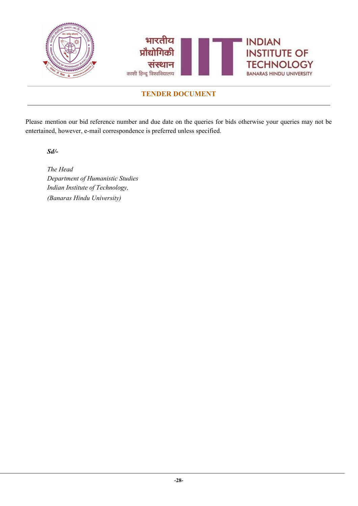

Please mention our bid reference number and due date on the queries for bids otherwise your queries may not be entertained, however, e-mail correspondence is preferred unless specified.

*Sd/-*

*The Head Department of Humanistic Studies Indian Institute of Technology, (Banaras Hindu University)*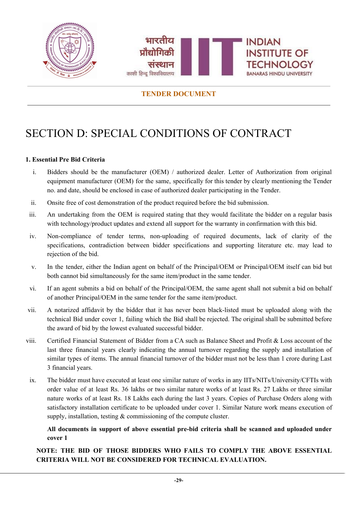



# <span id="page-29-0"></span>SECTION D: SPECIAL CONDITIONS OF CONTRACT

### **1. Essential Pre Bid Criteria**

- i. Bidders should be the manufacturer (OEM) / authorized dealer. Letter of Authorization from original equipment manufacturer (OEM) for the same, specifically for this tender by clearly mentioning the Tender no. and date, should be enclosed in case of authorized dealer participating in the Tender.
- ii. Onsite free of cost demonstration of the product required before the bid submission.
- iii. An undertaking from the OEM is required stating that they would facilitate the bidder on a regular basis with technology/product updates and extend all support for the warranty in confirmation with this bid.
- iv. Non-compliance of tender terms, non-uploading of required documents, lack of clarity of the specifications, contradiction between bidder specifications and supporting literature etc. may lead to rejection of the bid.
- v. In the tender, either the Indian agent on behalf of the Principal/OEM or Principal/OEM itself can bid but both cannot bid simultaneously for the same item/product in the same tender.
- vi. If an agent submits a bid on behalf of the Principal/OEM, the same agent shall not submit a bid on behalf of another Principal/OEM in the same tender for the same item/product.
- vii. A notarized affidavit by the bidder that it has never been black-listed must be uploaded along with the technical Bid under cover 1, failing which the Bid shall be rejected. The original shall be submitted before the award of bid by the lowest evaluated successful bidder.
- viii. Certified Financial Statement of Bidder from a CA such as Balance Sheet and Profit & Loss account of the last three financial years clearly indicating the annual turnover regarding the supply and installation of similar types of items. The annual financial turnover of the bidder must not be less than 1 crore during Last 3 financial years.
	- ix. The bidder must have executed at least one similar nature of works in any IITs/NITs/University/CFTIs with order value of at least Rs. 36 lakhs or two similar nature works of at least Rs. 27 Lakhs or three similar nature works of at least Rs. 18 Lakhs each during the last 3 years. Copies of Purchase Orders along with satisfactory installation certificate to be uploaded under cover 1. Similar Nature work means execution of supply, installation, testing & commissioning of the compute cluster.

### **All documents in support of above essential pre-bid criteria shall be scanned and uploaded under cover 1**

**NOTE: THE BID OF THOSE BIDDERS WHO FAILS TO COMPLY THE ABOVE ESSENTIAL CRITERIA WILL NOT BE CONSIDERED FOR TECHNICAL EVALUATION.**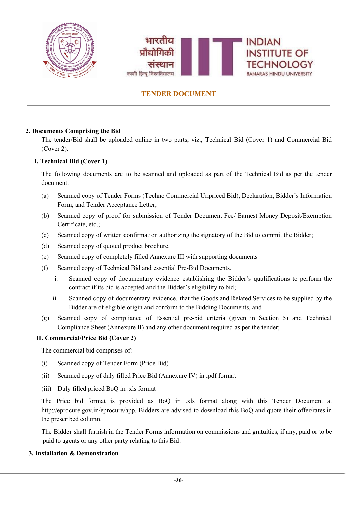



### **2. Documents Comprising the Bid**

The tender/Bid shall be uploaded online in two parts, viz., Technical Bid (Cover 1) and Commercial Bid (Cover 2).

### **I. Technical Bid (Cover 1)**

The following documents are to be scanned and uploaded as part of the Technical Bid as per the tender document:

- (a) Scanned copy of Tender Forms (Techno Commercial Unpriced Bid), Declaration, Bidder's Information Form, and Tender Acceptance Letter;
- (b) Scanned copy of proof for submission of Tender Document Fee/ Earnest Money Deposit/Exemption Certificate, etc.;
- (c) Scanned copy of written confirmation authorizing the signatory of the Bid to commit the Bidder;
- (d) Scanned copy of quoted product brochure.
- (e) Scanned copy of completely filled Annexure III with supporting documents
- (f) Scanned copy of Technical Bid and essential Pre-Bid Documents.
	- i. Scanned copy of documentary evidence establishing the Bidder's qualifications to perform the contract if its bid is accepted and the Bidder's eligibility to bid;
	- ii. Scanned copy of documentary evidence, that the Goods and Related Services to be supplied by the Bidder are of eligible origin and conform to the Bidding Documents, and
- (g) Scanned copy of compliance of Essential pre-bid criteria (given in Section 5) and Technical Compliance Sheet (Annexure II) and any other document required as per the tender;

#### **II. Commercial/Price Bid (Cover 2)**

The commercial bid comprises of:

- (i) Scanned copy of Tender Form (Price Bid)
- (ii) Scanned copy of duly filled Price Bid (Annexure IV) in .pdf format
- (iii) Duly filled priced BoQ in .xls format

The Price bid format is provided as BoQ in .xls format along with this Tender Document at <http://eprocure.gov.in/eprocure/app>. Bidders are advised to download this BoQ and quote their offer/rates in the prescribed column.

The Bidder shall furnish in the Tender Forms information on commissions and gratuities, if any, paid or to be paid to agents or any other party relating to this Bid.

#### **3. Installation & Demonstration**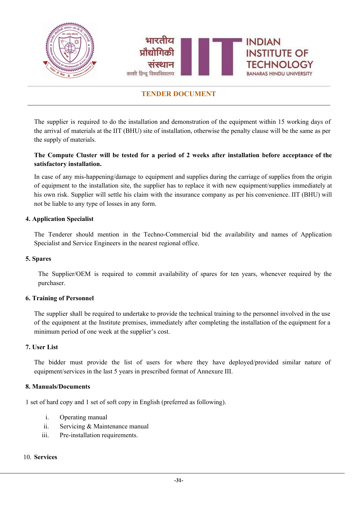

The supplier is required to do the installation and demonstration of the equipment within 15 working days of the arrival of materials at the IIT (BHU) site of installation, otherwise the penalty clause will be the same as per the supply of materials.

### The Compute Cluster will be tested for a period of 2 weeks after installation before acceptance of the **satisfactory installation.**

In case of any mis-happening/damage to equipment and supplies during the carriage of supplies from the origin of equipment to the installation site, the supplier has to replace it with new equipment/supplies immediately at his own risk. Supplier will settle his claim with the insurance company as per his convenience. IIT (BHU) will not be liable to any type of losses in any form.

#### **4. Application Specialist**

The Tenderer should mention in the Techno-Commercial bid the availability and names of Application Specialist and Service Engineers in the nearest regional office.

#### **5. Spares**

The Supplier/OEM is required to commit availability of spares for ten years, whenever required by the purchaser.

#### **6. Training of Personnel**

The supplier shall be required to undertake to provide the technical training to the personnel involved in the use of the equipment at the Institute premises, immediately after completing the installation of the equipment for a minimum period of one week at the supplier's cost.

#### **7. User List**

The bidder must provide the list of users for where they have deployed/provided similar nature of equipment/services in the last 5 years in prescribed format of Annexure III.

#### **8. Manuals/Documents**

1 set of hard copy and 1 set of soft copy in English (preferred as following).

- i. Operating manual
- ii. Servicing & Maintenance manual
- iii. Pre-installation requirements.

#### 10. **Services**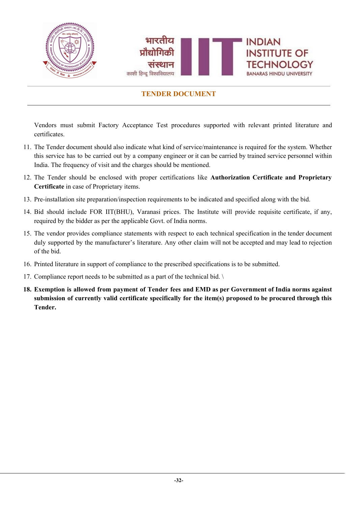

Vendors must submit Factory Acceptance Test procedures supported with relevant printed literature and certificates.

- 11. The Tender document should also indicate what kind of service/maintenance is required for the system. Whether this service has to be carried out by a company engineer or it can be carried by trained service personnel within India. The frequency of visit and the charges should be mentioned.
- 12. The Tender should be enclosed with proper certifications like **Authorization Certificate and Proprietary Certificate** in case of Proprietary items.
- 13. Pre-installation site preparation/inspection requirements to be indicated and specified along with the bid.
- 14. Bid should include FOR IIT(BHU), Varanasi prices. The Institute will provide requisite certificate, if any, required by the bidder as per the applicable Govt. of India norms.
- 15. The vendor provides compliance statements with respect to each technical specification in the tender document duly supported by the manufacturer's literature. Any other claim will not be accepted and may lead to rejection of the bid.
- 16. Printed literature in support of compliance to the prescribed specifications is to be submitted.
- 17. Compliance report needs to be submitted as a part of the technical bid. \
- 18. Exemption is allowed from payment of Tender fees and EMD as per Government of India norms against **submission of currently valid certificate specifically for the item(s) proposed to be procured through this Tender.**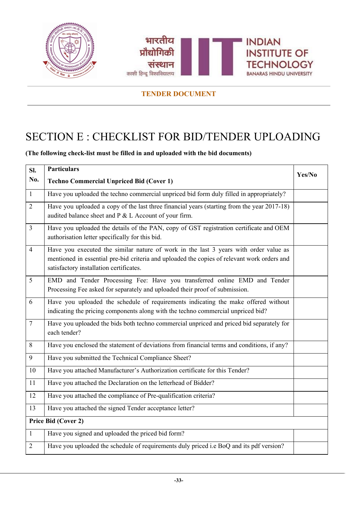



# <span id="page-33-0"></span>SECTION E : CHECKLIST FOR BID/TENDER UPLOADING

## **(The following check-list must be filled in and uploaded with the bid documents)**

| Sl.            | <b>Particulars</b>                                                                                                                                                                                                             | Yes/No |
|----------------|--------------------------------------------------------------------------------------------------------------------------------------------------------------------------------------------------------------------------------|--------|
| No.            | <b>Techno Commercial Unpriced Bid (Cover 1)</b>                                                                                                                                                                                |        |
| $\mathbf{1}$   | Have you uploaded the techno commercial unpriced bid form duly filled in appropriately?                                                                                                                                        |        |
| $\overline{2}$ | Have you uploaded a copy of the last three financial years (starting from the year 2017-18)<br>audited balance sheet and P & L Account of your firm.                                                                           |        |
| $\overline{3}$ | Have you uploaded the details of the PAN, copy of GST registration certificate and OEM<br>authorisation letter specifically for this bid.                                                                                      |        |
| $\overline{4}$ | Have you executed the similar nature of work in the last 3 years with order value as<br>mentioned in essential pre-bid criteria and uploaded the copies of relevant work orders and<br>satisfactory installation certificates. |        |
| 5              | EMD and Tender Processing Fee: Have you transferred online EMD and Tender<br>Processing Fee asked for separately and uploaded their proof of submission.                                                                       |        |
| 6              | Have you uploaded the schedule of requirements indicating the make offered without<br>indicating the pricing components along with the techno commercial unpriced bid?                                                         |        |
| $\overline{7}$ | Have you uploaded the bids both techno commercial unpriced and priced bid separately for<br>each tender?                                                                                                                       |        |
| $8\,$          | Have you enclosed the statement of deviations from financial terms and conditions, if any?                                                                                                                                     |        |
| 9              | Have you submitted the Technical Compliance Sheet?                                                                                                                                                                             |        |
| 10             | Have you attached Manufacturer's Authorization certificate for this Tender?                                                                                                                                                    |        |
| 11             | Have you attached the Declaration on the letterhead of Bidder?                                                                                                                                                                 |        |
| 12             | Have you attached the compliance of Pre-qualification criteria?                                                                                                                                                                |        |
| 13             | Have you attached the signed Tender acceptance letter?                                                                                                                                                                         |        |
|                | Price Bid (Cover 2)                                                                                                                                                                                                            |        |
| $\mathbf{1}$   | Have you signed and uploaded the priced bid form?                                                                                                                                                                              |        |
| $\overline{2}$ | Have you uploaded the schedule of requirements duly priced i.e BoQ and its pdf version?                                                                                                                                        |        |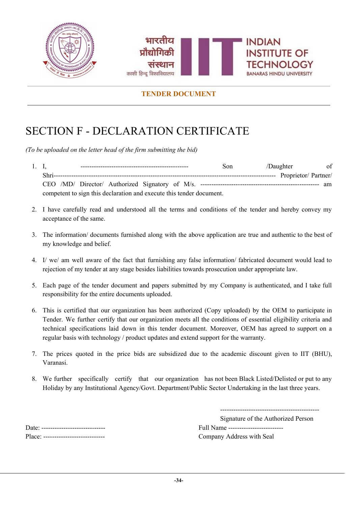



# <span id="page-34-0"></span>SECTION F - DECLARATION CERTIFICATE

*(To be uploaded on the letter head of the firm submitting the bid)*

- 1. I, ------------------------------------------------- Son /Daughter of Shri----------------------------------------------------------------------------------------------------- Proprietor/ Partner/ CEO /MD/ Director/ Authorized Signatory of M/s. ------------------------------------------------------ am competent to sign this declaration and execute this tender document.
- 2. I have carefully read and understood all the terms and conditions of the tender and hereby convey my acceptance of the same.
- 3. The information/ documents furnished along with the above application are true and authentic to the best of my knowledge and belief.
- 4. I/ we/ am well aware of the fact that furnishing any false information/ fabricated document would lead to rejection of my tender at any stage besides liabilities towards prosecution under appropriate law.
- 5. Each page of the tender document and papers submitted by my Company is authenticated, and I take full responsibility for the entire documents uploaded.
- 6. This is certified that our organization has been authorized (Copy uploaded) by the OEM to participate in Tender. We further certify that our organization meets all the conditions of essential eligibility criteria and technical specifications laid down in this tender document. Moreover, OEM has agreed to support on a regular basis with technology / product updates and extend support for the warranty.
- 7. The prices quoted in the price bids are subsidized due to the academic discount given to IIT (BHU), Varanasi.
- 8. We further specifically certify that our organization has not been Black Listed/Delisted or put to any Holiday by any Institutional Agency/Govt. Department/Public Sector Undertaking in the last three years.

---------------------------------------------

Signature of the Authorized Person Date: ----------------------------- Full Name -------------------------

Place: ---------------------------- Company Address with Seal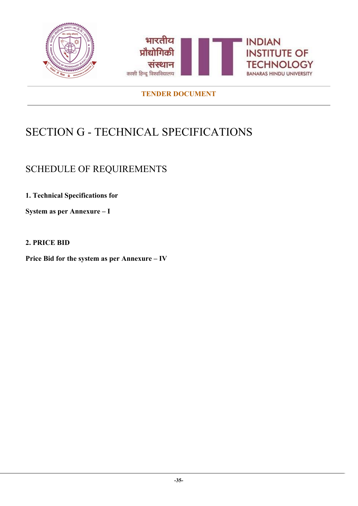

# <span id="page-35-0"></span>SECTION G - TECHNICAL SPECIFICATIONS

## <span id="page-35-1"></span>SCHEDULE OF REQUIREMENTS

**1. Technical Specifications for**

**System as per Annexure – I**

## **2. PRICE BID**

**Price Bid for the system as per Annexure – IV**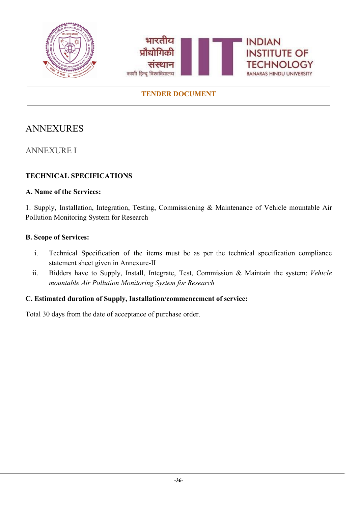



## <span id="page-36-0"></span>ANNEXURES

<span id="page-36-1"></span>ANNEXURE I

## **TECHNICAL SPECIFICATIONS**

## **A. Name of the Services:**

1. Supply, Installation, Integration, Testing, Commissioning & Maintenance of Vehicle mountable Air Pollution Monitoring System for Research

## **B. Scope of Services:**

- i. Technical Specification of the items must be as per the technical specification compliance statement sheet given in Annexure-II
- ii. Bidders have to Supply, Install, Integrate, Test, Commission & Maintain the system: *Vehicle mountable Air Pollution Monitoring System for Research*

## **C. Estimated duration of Supply, Installation/commencement of service:**

Total 30 days from the date of acceptance of purchase order.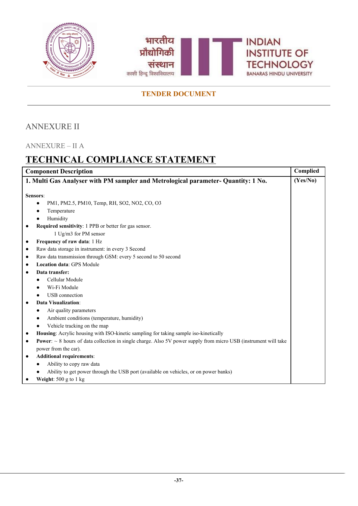



## <span id="page-37-0"></span>ANNEXURE II

## <span id="page-37-1"></span>ANNEXURE – II A

# **TECHNICAL COMPLIANCE STATEMENT**

| <b>Component Description</b>                                                                                                             |          |
|------------------------------------------------------------------------------------------------------------------------------------------|----------|
| 1. Multi Gas Analyser with PM sampler and Metrological parameter- Quantity: 1 No.                                                        | (Yes/No) |
|                                                                                                                                          |          |
| Sensors:                                                                                                                                 |          |
| PM1, PM2.5, PM10, Temp, RH, SO2, NO2, CO, O3<br>$\bullet$                                                                                |          |
| Temperature                                                                                                                              |          |
| Humidity                                                                                                                                 |          |
| Required sensitivity: 1 PPB or better for gas sensor.                                                                                    |          |
| 1 Ug/m3 for PM sensor                                                                                                                    |          |
| Frequency of raw data: 1 Hz<br>٠                                                                                                         |          |
| Raw data storage in instrument: in every 3 Second<br>$\bullet$                                                                           |          |
| Raw data transmission through GSM: every 5 second to 50 second                                                                           |          |
| <b>Location data: GPS Module</b>                                                                                                         |          |
| Data transfer:                                                                                                                           |          |
| Cellular Module                                                                                                                          |          |
| Wi-Fi Module                                                                                                                             |          |
| <b>USB</b> connection                                                                                                                    |          |
| Data Visualization:                                                                                                                      |          |
| Air quality parameters                                                                                                                   |          |
| Ambient conditions (temperature, humidity)                                                                                               |          |
| Vehicle tracking on the map                                                                                                              |          |
| Housing: Acrylic housing with ISO-kinetic sampling for taking sample iso-kinetically                                                     |          |
| <b>Power:</b> $\sim$ 8 hours of data collection in single charge. Also 5V power supply from micro USB (instrument will take<br>$\bullet$ |          |
| power from the car).                                                                                                                     |          |
| <b>Additional requirements:</b><br>$\bullet$                                                                                             |          |
| Ability to copy raw data                                                                                                                 |          |
| Ability to get power through the USB port (available on vehicles, or on power banks)                                                     |          |
| Weight: $500$ g to 1 kg                                                                                                                  |          |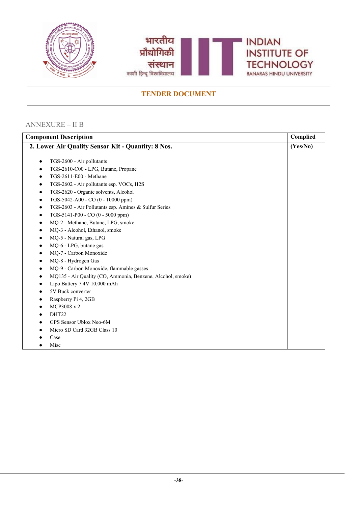



## <span id="page-38-0"></span>ANNEXURE – II B

| <b>Component Description</b>                       |                                                            | Complied |
|----------------------------------------------------|------------------------------------------------------------|----------|
| 2. Lower Air Quality Sensor Kit - Quantity: 8 Nos. |                                                            |          |
|                                                    |                                                            |          |
| $\bullet$                                          | TGS-2600 - Air pollutants                                  |          |
| ٠                                                  | TGS-2610-C00 - LPG, Butane, Propane                        |          |
| ٠                                                  | TGS-2611-E00 - Methane                                     |          |
| $\bullet$                                          | TGS-2602 - Air pollutants esp. VOCs, H2S                   |          |
| ٠                                                  | TGS-2620 - Organic solvents, Alcohol                       |          |
| $\bullet$                                          | TGS-5042-A00 - CO (0 - 10000 ppm)                          |          |
| $\bullet$                                          | TGS-2603 - Air Pollutants esp. Amines & Sulfur Series      |          |
| $\bullet$                                          | TGS-5141-P00 - CO (0 - 5000 ppm)                           |          |
| $\bullet$                                          | MQ-2 - Methane, Butane, LPG, smoke                         |          |
| ٠                                                  | MQ-3 - Alcohol, Ethanol, smoke                             |          |
| $\bullet$                                          | MQ-5 - Natural gas, LPG                                    |          |
| ٠                                                  | MQ-6 - LPG, butane gas                                     |          |
|                                                    | MQ-7 - Carbon Monoxide                                     |          |
| ٠                                                  | MQ-8 - Hydrogen Gas                                        |          |
| ٠                                                  | MQ-9 - Carbon Monoxide, flammable gasses                   |          |
| $\bullet$                                          | MQ135 - Air Quality (CO, Ammonia, Benzene, Alcohol, smoke) |          |
| $\bullet$                                          | Lipo Battery 7.4V 10,000 mAh                               |          |
| ٠                                                  | 5V Buck converter                                          |          |
|                                                    | Raspberry Pi 4, 2GB                                        |          |
| ٠                                                  | MCP3008 x 2                                                |          |
| ٠                                                  | DHT22                                                      |          |
|                                                    | GPS Sensor Ublox Neo-6M                                    |          |
|                                                    | Micro SD Card 32GB Class 10                                |          |
|                                                    | Case                                                       |          |
|                                                    | Misc                                                       |          |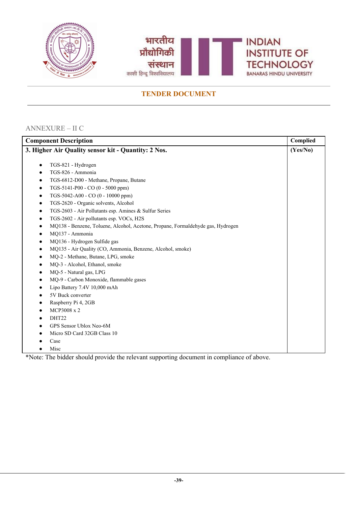



## <span id="page-39-0"></span>ANNEXURE – II C

| <b>Component Description</b>                                                         |  |  |
|--------------------------------------------------------------------------------------|--|--|
| 3. Higher Air Quality sensor kit - Quantity: 2 Nos.                                  |  |  |
|                                                                                      |  |  |
| TGS-821 - Hydrogen<br>٠                                                              |  |  |
| TGS-826 - Ammonia<br>٠                                                               |  |  |
| TGS-6812-D00 - Methane, Propane, Butane<br>٠                                         |  |  |
| TGS-5141-P00 - CO (0 - 5000 ppm)<br>$\bullet$                                        |  |  |
| TGS-5042-A00 - CO (0 - 10000 ppm)<br>٠                                               |  |  |
| TGS-2620 - Organic solvents, Alcohol<br>٠                                            |  |  |
| TGS-2603 - Air Pollutants esp. Amines & Sulfur Series<br>٠                           |  |  |
| TGS-2602 - Air pollutants esp. VOCs, H2S<br>٠                                        |  |  |
| MQ138 - Benzene, Toluene, Alcohol, Acetone, Propane, Formaldehyde gas, Hydrogen<br>٠ |  |  |
| MQ137 - Ammonia<br>٠                                                                 |  |  |
| MQ136 - Hydrogen Sulfide gas<br>٠                                                    |  |  |
| MQ135 - Air Quality (CO, Ammonia, Benzene, Alcohol, smoke)<br>٠                      |  |  |
| MQ-2 - Methane, Butane, LPG, smoke<br>٠                                              |  |  |
| MQ-3 - Alcohol, Ethanol, smoke<br>$\bullet$                                          |  |  |
| MQ-5 - Natural gas, LPG<br>٠                                                         |  |  |
| MQ-9 - Carbon Monoxide, flammable gases                                              |  |  |
| Lipo Battery 7.4V 10,000 mAh<br>$\bullet$                                            |  |  |
| 5V Buck converter                                                                    |  |  |
| Raspberry Pi 4, 2GB<br>٠                                                             |  |  |
| MCP3008 x 2<br>$\bullet$                                                             |  |  |
| DHT22                                                                                |  |  |
| GPS Sensor Ublox Neo-6M                                                              |  |  |
| Micro SD Card 32GB Class 10                                                          |  |  |
| Case                                                                                 |  |  |
| Misc                                                                                 |  |  |

\*Note: The bidder should provide the relevant supporting document in compliance of above.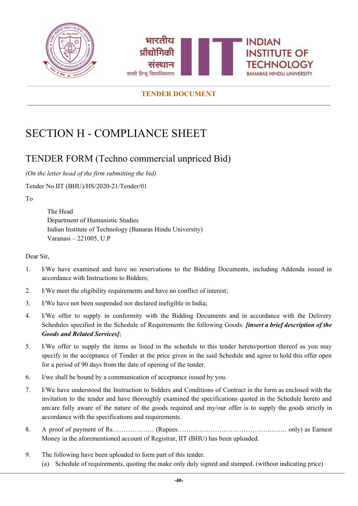



# <span id="page-40-0"></span>SECTION H - COMPLIANCE SHEET

## <span id="page-40-1"></span>TENDER FORM (Techno commercial unpriced Bid)

*(On the letter head of the firm submitting the bid)*

Tender No.IIT (BHU)/HS/2020-21/Tender/01

To

The Head Department of Humanistic Studies Indian Institute of Technology (Banaras Hindu University) Varanasi – 221005, U.P

Dear Sir,

- 1. I/We have examined and have no reservations to the Bidding Documents, including Addenda issued in accordance with Instructions to Bidders;
- 2. I/We meet the eligibility requirements and have no conflict of interest;
- 3. I/We have not been suspended nor declared ineligible in India;
- 4. I/We offer to supply in conformity with the Bidding Documents and in accordance with the Delivery Schedules specified in the Schedule of Requirements the following Goods: *[insert a brief description of the Goods and Related Services]*;
- 5. I/We offer to supply the items as listed in the schedule to this tender hereto/portion thereof as you may specify in the acceptance of Tender at the price given in the said Schedule and agree to hold this offer open for a period of 90 days from the date of opening of the tender.
- 6. I/we shall be bound by a communication of acceptance issued by you.
- 7. I/We have understood the Instruction to bidders and Conditions of Contract in the form as enclosed with the invitation to the tender and have thoroughly examined the specifications quoted in the Schedule hereto and am/are fully aware of the nature of the goods required and my/our offer is to supply the goods strictly in accordance with the specifications and requirements.
- 8. A proof of payment of Rs………………. (Rupees…………………………………….……. only) as Earnest Money in the aforementioned account of Registrar, IIT (BHU) has been uploaded.
- 9. The following have been uploaded to form part of this tender. (a) Schedule of requirements, quoting the make only duly signed and stamped. (without indicating price)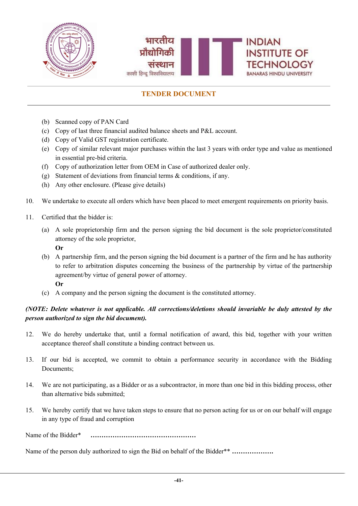

- (b) Scanned copy of PAN Card
- (c) Copy of last three financial audited balance sheets and P&L account.
- (d) Copy of Valid GST registration certificate.
- (e) Copy of similar relevant major purchases within the last 3 years with order type and value as mentioned in essential pre-bid criteria.
- (f) Copy of authorization letter from OEM in Case of authorized dealer only.
- (g) Statement of deviations from financial terms & conditions, if any.
- (h) Any other enclosure. (Please give details)
- 10. We undertake to execute all orders which have been placed to meet emergent requirements on priority basis.
- 11. Certified that the bidder is:
	- (a) A sole proprietorship firm and the person signing the bid document is the sole proprietor/constituted attorney of the sole proprietor, **Or**
	- (b) A partnership firm, and the person signing the bid document is a partner of the firm and he has authority
	- to refer to arbitration disputes concerning the business of the partnership by virtue of the partnership agreement/by virtue of general power of attorney. **Or**
	- (c) A company and the person signing the document is the constituted attorney.

### *(NOTE: Delete whatever is not applicable. All corrections/deletions should invariable be duly attested by the person authorized to sign the bid document).*

- 12. We do hereby undertake that, until a formal notification of award, this bid, together with your written acceptance thereof shall constitute a binding contract between us.
- 13. If our bid is accepted, we commit to obtain a performance security in accordance with the Bidding Documents;
- 14. We are not participating, as a Bidder or as a subcontractor, in more than one bid in this bidding process, other than alternative bids submitted;
- 15. We hereby certify that we have taken steps to ensure that no person acting for us or on our behalf will engage in any type of fraud and corruption

Name of the Bidder\* **…………………………………………**

Name of the person duly authorized to sign the Bid on behalf of the Bidder\*\* **……………….**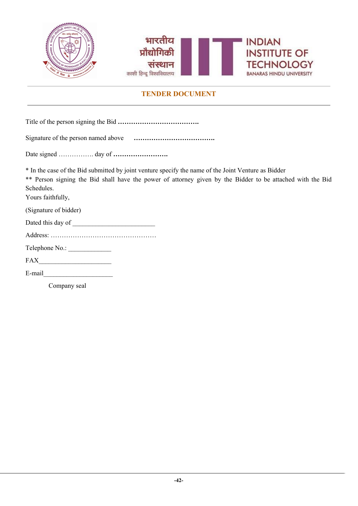



Title of the person signing the Bid **……………………………….**

| Signature of the person named above |  |
|-------------------------------------|--|
|                                     |  |
|                                     |  |
|                                     |  |

Date signed ……………. day of **…………………….**

\* In the case of the Bid submitted by joint venture specify the name of the Joint Venture as Bidder

\*\* Person signing the Bid shall have the power of attorney given by the Bidder to be attached with the Bid Schedules.

Yours faithfully,

(Signature of bidder)

| Dated this day of |  |  |
|-------------------|--|--|
|-------------------|--|--|

|--|--|

| Telephone No.: |  |
|----------------|--|
|----------------|--|

FAX

E-mail

Company seal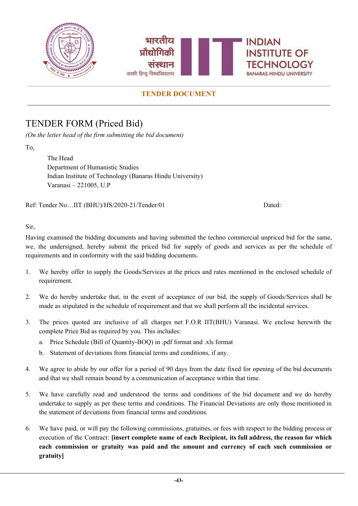

## <span id="page-43-0"></span>TENDER FORM (Priced Bid)

*(On the letter head of the firm submitting the bid document)*

To,

The Head Department of Humanistic Studies Indian Institute of Technology (Banaras Hindu University) Varanasi – 221005, U.P

Ref: Tender No…IIT (BHU)/HS/2020-21/Tender/01 Dated:

Sir,

Having examined the bidding documents and having submitted the techno commercial unpriced bid for the same, we, the undersigned, hereby submit the priced bid for supply of goods and services as per the schedule of requirements and in conformity with the said bidding documents.

- 1. We hereby offer to supply the Goods/Services at the prices and rates mentioned in the enclosed schedule of requirement.
- 2. We do hereby undertake that, in the event of acceptance of our bid, the supply of Goods/Services shall be made as stipulated in the schedule of requirement and that we shall perform all the incidental services.
- 3. The prices quoted are inclusive of all charges net F.O.R IIT(BHU) Varanasi. We enclose herewith the complete Price Bid as required by you. This includes:
	- a. Price Schedule (Bill of Quantity-BOQ) in .pdf format and .xls format
	- b. Statement of deviations from financial terms and conditions, if any.
- 4. We agree to abide by our offer for a period of 90 days from the date fixed for opening of the bid documents and that we shall remain bound by a communication of acceptance within that time.
- 5. We have carefully read and understood the terms and conditions of the bid document and we do hereby undertake to supply as per these terms and conditions. The Financial Deviations are only those mentioned in the statement of deviations from financial terms and conditions.
- 6. We have paid, or will pay the following commissions, gratuities, or fees with respect to the bidding process or execution of the Contract: **[insert complete name of each Recipient, its full address, the reason for which each commission or gratuity was paid and the amount and currency of each such commission or gratuity]**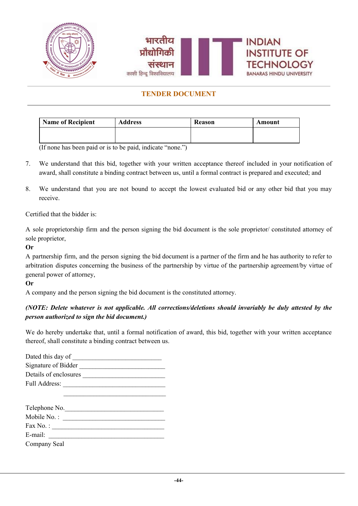



| Name of Recipient | <b>Address</b> | <b>Reason</b> | Amount |
|-------------------|----------------|---------------|--------|
|                   |                |               |        |
|                   |                |               |        |

(If none has been paid or is to be paid, indicate "none.")

- 7. We understand that this bid, together with your written acceptance thereof included in your notification of award, shall constitute a binding contract between us, until a formal contract is prepared and executed; and
- 8. We understand that you are not bound to accept the lowest evaluated bid or any other bid that you may receive.

Certified that the bidder is:

A sole proprietorship firm and the person signing the bid document is the sole proprietor/ constituted attorney of sole proprietor,

**Or**

A partnership firm, and the person signing the bid document is a partner of the firm and he has authority to refer to arbitration disputes concerning the business of the partnership by virtue of the partnership agreement/by virtue of general power of attorney,

**Or**

A company and the person signing the bid document is the constituted attorney.

### *(NOTE: Delete whatever is not applicable. All corrections/deletions should invariably be duly attested by the person authorized to sign the bid document.)*

We do hereby undertake that, until a formal notification of award, this bid, together with your written acceptance thereof, shall constitute a binding contract between us.

| Dated this day of     |  |
|-----------------------|--|
| Signature of Bidder   |  |
| Details of enclosures |  |
| <b>Full Address:</b>  |  |
|                       |  |
|                       |  |
| Telephone No.         |  |

| Mobile No.:  |  |
|--------------|--|
| Fax No.:     |  |
| E-mail:      |  |
| Company Seal |  |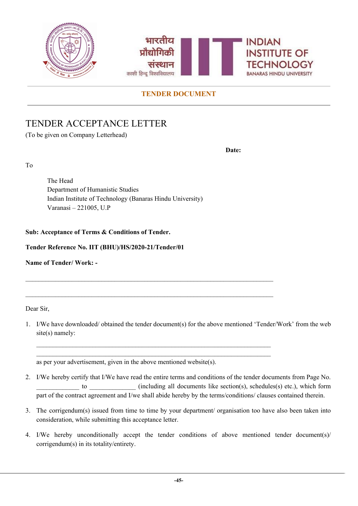



# TENDER ACCEPTANCE LETTER

(To be given on Company Letterhead)

**Date:**

To

The Head Department of Humanistic Studies Indian Institute of Technology (Banaras Hindu University) Varanasi – 221005, U.P

### **Sub: Acceptance of Terms & Conditions of Tender.**

**Tender Reference No. IIT (BHU)/HS/2020-21/Tender/01**

**Name of Tender/ Work: -**

Dear Sir,

1. I/We have downloaded/ obtained the tender document(s) for the above mentioned 'Tender/Work' from the web site(s) namely:

\_\_\_\_\_\_\_\_\_\_\_\_\_\_\_\_\_\_\_\_\_\_\_\_\_\_\_\_\_\_\_\_\_\_\_\_\_\_\_\_\_\_\_\_\_\_\_\_\_\_\_\_\_\_\_\_\_\_\_\_\_\_\_\_\_\_\_\_\_\_\_ \_\_\_\_\_\_\_\_\_\_\_\_\_\_\_\_\_\_\_\_\_\_\_\_\_\_\_\_\_\_\_\_\_\_\_\_\_\_\_\_\_\_\_\_\_\_\_\_\_\_\_\_\_\_\_\_\_\_\_\_\_\_\_\_\_\_\_\_\_\_\_

as per your advertisement, given in the above mentioned website(s).

- 2. I/We hereby certify that I/We have read the entire terms and conditions of the tender documents from Page No. to (including all documents like section(s), schedules(s) etc.), which form part of the contract agreement and I/we shall abide hereby by the terms/conditions/ clauses contained therein.
- 3. The corrigendum(s) issued from time to time by your department/ organisation too have also been taken into consideration, while submitting this acceptance letter.
- 4. I/We hereby unconditionally accept the tender conditions of above mentioned tender document(s)/ corrigendum(s) in its totality/entirety.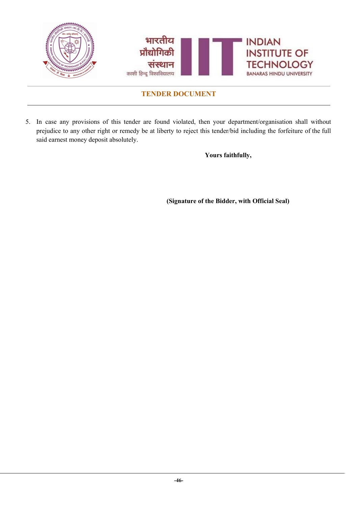

5. In case any provisions of this tender are found violated, then your department/organisation shall without prejudice to any other right or remedy be at liberty to reject this tender/bid including the forfeiture of the full said earnest money deposit absolutely.

**Yours faithfully,**

**(Signature of the Bidder, with Official Seal)**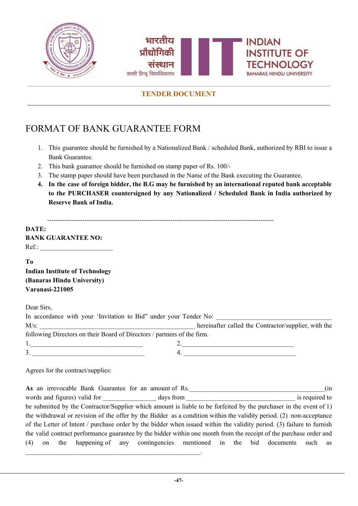



# <span id="page-47-0"></span>FORMAT OF BANK GUARANTEE FORM

- 1. This guarantee should be furnished by a Nationalized Bank / scheduled Bank, authorized by RBI to issue a Bank Guarantee.
- 2. This bank guarantee should be furnished on stamp paper of Rs. 100/-
- 3. The stamp paper should have been purchased in the Name of the Bank executing the Guarantee.
- 4. In the case of foreign bidder, the B.G may be furnished by an international reputed bank acceptable **to the PURCHASER countersigned by any Nationalized / Scheduled Bank in India authorized by Reserve Bank of India.**

-------------------------------------------------------------------------------------------------------

| DATE:                     |  |
|---------------------------|--|
| <b>BANK GUARANTEE NO:</b> |  |
| $Ref.$ :                  |  |

**To**

**Indian Institute of Technology (Banaras Hindu University) Varanasi-221005**

Dear Sirs,

| In accordance with your 'Invitation to Bid" under your Tender No:       |                                                      |
|-------------------------------------------------------------------------|------------------------------------------------------|
| $M/s$ :                                                                 | hereinafter called the Contractor/supplier, with the |
| following Directors on their Board of Directors / partners of the firm. |                                                      |
|                                                                         |                                                      |
| 3.                                                                      |                                                      |

Agrees for the contract/supplies:

 $\mathcal{L}_\text{max} = \mathcal{L}_\text{max} = \mathcal{L}_\text{max} = \mathcal{L}_\text{max} = \mathcal{L}_\text{max} = \mathcal{L}_\text{max} = \mathcal{L}_\text{max} = \mathcal{L}_\text{max} = \mathcal{L}_\text{max} = \mathcal{L}_\text{max} = \mathcal{L}_\text{max} = \mathcal{L}_\text{max} = \mathcal{L}_\text{max} = \mathcal{L}_\text{max} = \mathcal{L}_\text{max} = \mathcal{L}_\text{max} = \mathcal{L}_\text{max} = \mathcal{L}_\text{max} = \mathcal{$ 

**As** an irrevocable Bank Guarantee for an amount of Rs.  $\qquad \qquad$  (in words and figures) valid for days from days from is required to be submitted by the Contractor/Supplier which amount is liable to be forfeited by the purchaser in the event of 1) the withdrawal or revision of the offer by the Bidder as a condition within the validity period. (2) non-acceptance of the Letter of Intent / purchase order by the bidder when issued within the validity period. (3) failure to furnish the valid contract performance guarantee by the bidder within one month from the receipt of the purchase order and (4) on the happening of any contingencies mentioned in the bid documents such as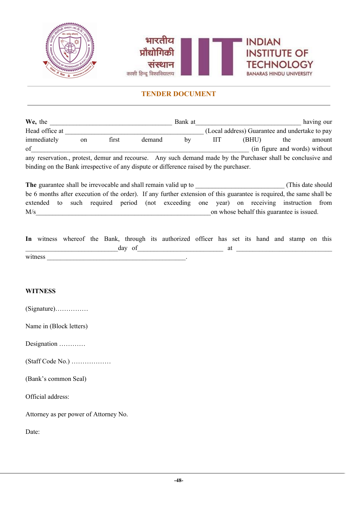

| We, the                                                                                                      |               |       |        | Bank at |   |                                                |     | having our                    |
|--------------------------------------------------------------------------------------------------------------|---------------|-------|--------|---------|---|------------------------------------------------|-----|-------------------------------|
| Head office at                                                                                               |               |       |        |         |   | (Local address) Guarantee and undertake to pay |     |                               |
| immediately                                                                                                  | <sub>on</sub> | first | demand | bv      | Ш | (BHU)                                          | the | amount                        |
| of                                                                                                           |               |       |        |         |   |                                                |     | (in figure and words) without |
| any reservation., protest, demur and recourse. Any such demand made by the Purchaser shall be conclusive and |               |       |        |         |   |                                                |     |                               |
| binding on the Bank irrespective of any dispute or difference raised by the purchaser.                       |               |       |        |         |   |                                                |     |                               |

**The** guarantee shall be irrevocable and shall remain valid up to  $($ This date should be 6 months after execution of the order). If any further extension of this guarantee is required, the same shall be extended to such required period (not exceeding one year) on receiving instruction from  $M/s$  on whose behalf this guarantee is issued.

|         |  |        | In witness whereof the Bank, through its authorized officer has set its hand and stamp on this |  |  |  |  |  |
|---------|--|--------|------------------------------------------------------------------------------------------------|--|--|--|--|--|
|         |  | day of |                                                                                                |  |  |  |  |  |
| witness |  |        |                                                                                                |  |  |  |  |  |

#### **WITNESS**

| $(Signature)$ |  |  |  |  |  |  |  |  |  |  |  |  |
|---------------|--|--|--|--|--|--|--|--|--|--|--|--|
|---------------|--|--|--|--|--|--|--|--|--|--|--|--|

Name in (Block letters)

Designation …………

(Staff Code No.) ………………

(Bank's common Seal)

Official address:

Attorney as per power of Attorney No.

Date: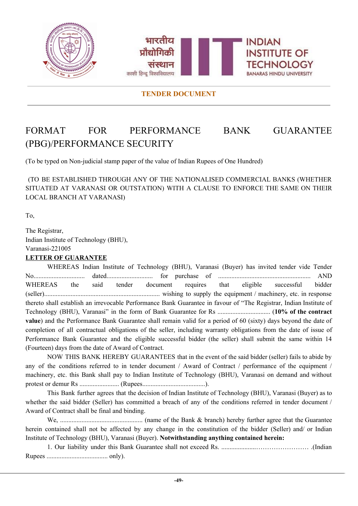



# <span id="page-49-0"></span>FORMAT FOR PERFORMANCE BANK GUARANTEE (PBG)/PERFORMANCE SECURITY

(To be typed on Non-judicial stamp paper of the value of Indian Rupees of One Hundred)

(TO BE ESTABLISHED THROUGH ANY OF THE NATIONALISED COMMERCIAL BANKS (WHETHER SITUATED AT VARANASI OR OUTSTATION) WITH A CLAUSE TO ENFORCE THE SAME ON THEIR LOCAL BRANCH AT VARANASI)

To,

The Registrar, Indian Institute of Technology (BHU), Varanasi-221005 **LETTER OF GUARANTEE**

WHEREAS Indian Institute of Technology (BHU), Varanasi (Buyer) has invited tender vide Tender No............................... dated............................ for purchase of ........................................................ AND WHEREAS the said tender document requires that eligible successful bidder (seller)...................................................................... wishing to supply the equipment / machinery, etc. in response thereto shall establish an irrevocable Performance Bank Guarantee in favour of "The Registrar, Indian Institute of Technology (BHU), Varanasi" in the form of Bank Guarantee for Rs ................................ (**10% of the contract value**) and the Performance Bank Guarantee shall remain valid for a period of 60 (sixty) days beyond the date of completion of all contractual obligations of the seller, including warranty obligations from the date of issue of Performance Bank Guarantee and the eligible successful bidder (the seller) shall submit the same within 14 (Fourteen) days from the date of Award of Contract.

NOW THIS BANK HEREBY GUARANTEES that in the event of the said bidder (seller) fails to abide by any of the conditions referred to in tender document / Award of Contract / performance of the equipment / machinery, etc. this Bank shall pay to Indian Institute of Technology (BHU), Varanasi on demand and without protest or demur Rs ........................ (Rupees......................................).

This Bank further agrees that the decision of Indian Institute of Technology (BHU), Varanasi (Buyer) as to whether the said bidder (Seller) has committed a breach of any of the conditions referred in tender document / Award of Contract shall be final and binding.

We, .................................................. (name of the Bank & branch) hereby further agree that the Guarantee herein contained shall not be affected by any change in the constitution of the bidder (Seller) and/ or Indian Institute of Technology (BHU), Varanasi (Buyer). **Notwithstanding anything contained herein:**

1. Our liability under this Bank Guarantee shall not exceed Rs. .....................…………………… .(Indian Rupees ..................................... only).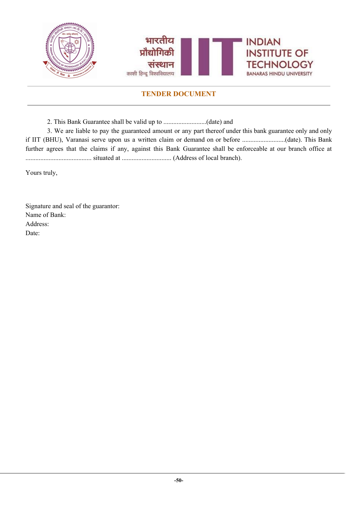

2. This Bank Guarantee shall be valid up to ..........................(date) and

3. We are liable to pay the guaranteed amount or any part thereof under this bank guarantee only and only if IIT (BHU), Varanasi serve upon us a written claim or demand on or before ..........................(date). This Bank further agrees that the claims if any, against this Bank Guarantee shall be enforceable at our branch office at ........................................ situated at .............................. (Address of local branch).

Yours truly,

Signature and seal of the guarantor: Name of Bank: Address: Date: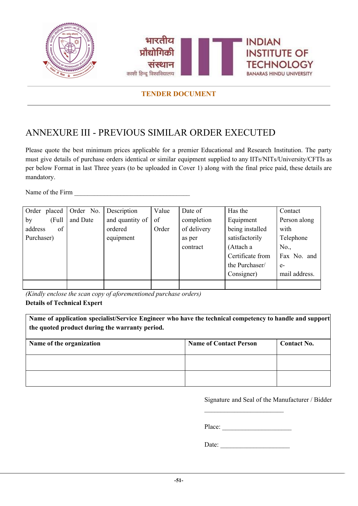

## <span id="page-51-0"></span>ANNEXURE III - PREVIOUS SIMILAR ORDER EXECUTED

Please quote the best minimum prices applicable for a premier Educational and Research Institution. The party must give details of purchase orders identical or similar equipment supplied to any IITs/NITs/University/CFTIs as per below Format in last Three years (to be uploaded in Cover 1) along with the final price paid, these details are mandatory.

Name of the Firm

| Order placed Order No. |          | Description     | Value | Date of     | Has the          | Contact       |
|------------------------|----------|-----------------|-------|-------------|------------------|---------------|
| by<br>(Full            | and Date | and quantity of | of    | completion  | Equipment        | Person along  |
| address<br>of          |          | ordered         | Order | of delivery | being installed  | with          |
| Purchaser)             |          | equipment       |       | as per      | satisfactorily   | Telephone     |
|                        |          |                 |       | contract    | (Attach a        | No.,          |
|                        |          |                 |       |             | Certificate from | Fax No. and   |
|                        |          |                 |       |             | the Purchaser/   | $e-$          |
|                        |          |                 |       |             | Consigner)       | mail address. |
|                        |          |                 |       |             |                  |               |

*(Kindly enclose the scan copy of aforementioned purchase orders)* **Details of Technical Expert**

**Name of application specialist/Service Engineer who have the technical competency to handle and support the quoted product during the warranty period. Name** of the organization **Name Name** of **Contact Person Contact No.** 

Signature and Seal of the Manufacturer / Bidder

Place: \_\_\_\_\_\_\_\_\_\_\_\_\_\_\_\_\_\_\_\_\_

 $\mathcal{L}_\text{max}$ 

Date: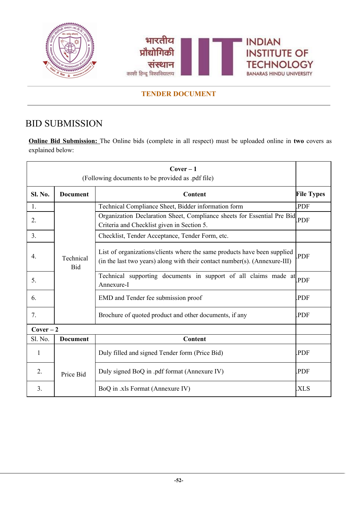



# <span id="page-52-0"></span>BID SUBMISSION

**Online Bid Submission:** The Online bids (complete in all respect) must be uploaded online in **two** covers as explained below:

| $Cover-1$<br>(Following documents to be provided as .pdf file) |                                                                                                                                                                                   |                                                                                                                       |                 |  |  |  |  |  |
|----------------------------------------------------------------|-----------------------------------------------------------------------------------------------------------------------------------------------------------------------------------|-----------------------------------------------------------------------------------------------------------------------|-----------------|--|--|--|--|--|
| Sl. No.                                                        | <b>File Types</b><br><b>Document</b><br><b>Content</b>                                                                                                                            |                                                                                                                       |                 |  |  |  |  |  |
| 1.                                                             |                                                                                                                                                                                   | Technical Compliance Sheet, Bidder information form                                                                   | PDF.            |  |  |  |  |  |
| 2.                                                             |                                                                                                                                                                                   | Organization Declaration Sheet, Compliance sheets for Essential Pre Bid<br>Criteria and Checklist given in Section 5. | PDF <sub></sub> |  |  |  |  |  |
| 3 <sub>1</sub>                                                 |                                                                                                                                                                                   | Checklist, Tender Acceptance, Tender Form, etc.                                                                       |                 |  |  |  |  |  |
| $4_{\cdot}$                                                    | List of organizations/clients where the same products have been supplied<br>Technical<br>(in the last two years) along with their contact number(s). (Annexure-III)<br><b>Bid</b> |                                                                                                                       | PDF             |  |  |  |  |  |
| 5.                                                             |                                                                                                                                                                                   | Technical supporting documents in support of all claims made at<br>Annexure-I                                         | <b>PDF</b>      |  |  |  |  |  |
| 6.                                                             |                                                                                                                                                                                   | EMD and Tender fee submission proof                                                                                   | PDF.            |  |  |  |  |  |
| 7.                                                             |                                                                                                                                                                                   | Brochure of quoted product and other documents, if any                                                                | PDF.            |  |  |  |  |  |
| $Cover-2$                                                      |                                                                                                                                                                                   |                                                                                                                       |                 |  |  |  |  |  |
| Sl. No.                                                        | <b>Document</b>                                                                                                                                                                   | Content                                                                                                               |                 |  |  |  |  |  |
| 1                                                              |                                                                                                                                                                                   | Duly filled and signed Tender form (Price Bid)                                                                        | PDF.            |  |  |  |  |  |
| 2.                                                             | Price Bid                                                                                                                                                                         | Duly signed BoQ in .pdf format (Annexure IV)                                                                          | PDF.            |  |  |  |  |  |
| 3.                                                             |                                                                                                                                                                                   | BoQ in .xls Format (Annexure IV)                                                                                      | .XLS            |  |  |  |  |  |